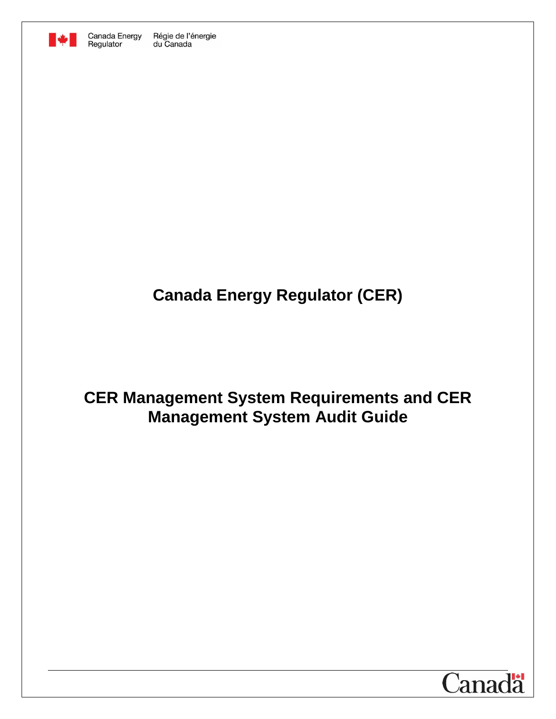

# **Canada Energy Regulator (CER)**

# **CER Management System Requirements and CER Management System Audit Guide**

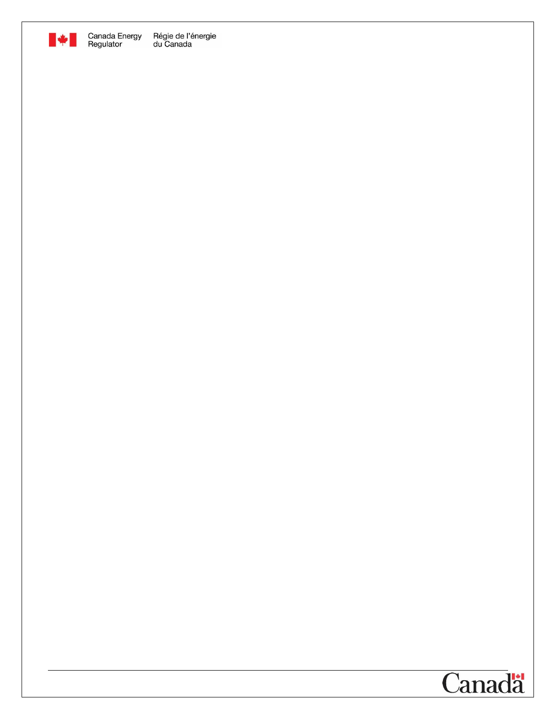

Canada Energy<br>Regulator Régie de l'énergie<br>du Canada

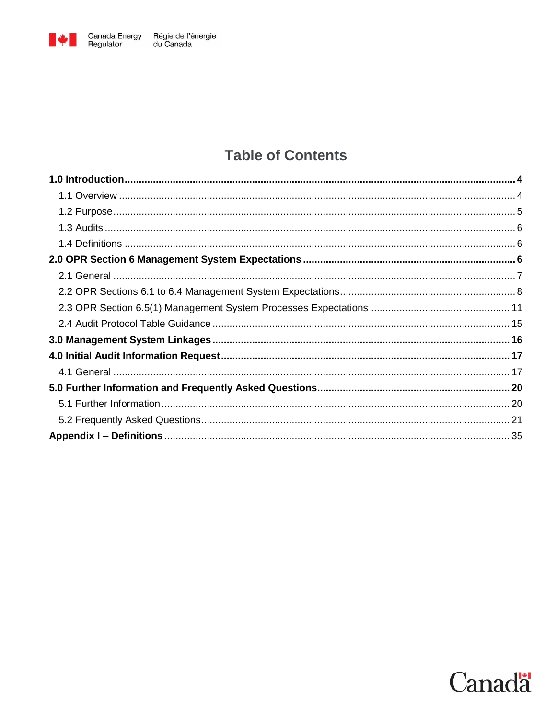

# **Table of Contents**

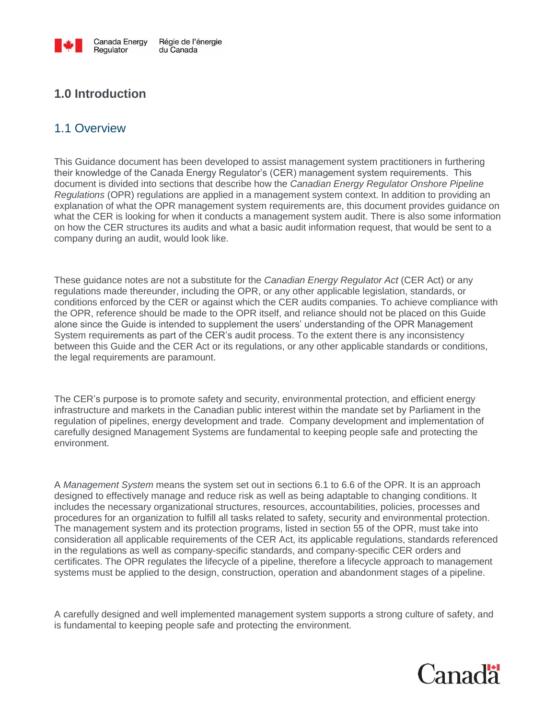

# <span id="page-3-0"></span>**1.0 Introduction**

# <span id="page-3-1"></span>1.1 Overview

This Guidance document has been developed to assist management system practitioners in furthering their knowledge of the Canada Energy Regulator's (CER) management system requirements. This document is divided into sections that describe how the *Canadian Energy Regulator Onshore Pipeline Regulations* (OPR) regulations are applied in a management system context. In addition to providing an explanation of what the OPR management system requirements are, this document provides guidance on what the CER is looking for when it conducts a management system audit. There is also some information on how the CER structures its audits and what a basic audit information request, that would be sent to a company during an audit, would look like.

These guidance notes are not a substitute for the *Canadian Energy Regulator Act* (CER Act) or any regulations made thereunder, including the OPR, or any other applicable legislation, standards, or conditions enforced by the CER or against which the CER audits companies. To achieve compliance with the OPR, reference should be made to the OPR itself, and reliance should not be placed on this Guide alone since the Guide is intended to supplement the users' understanding of the OPR Management System requirements as part of the CER's audit process. To the extent there is any inconsistency between this Guide and the CER Act or its regulations, or any other applicable standards or conditions, the legal requirements are paramount.

The CER's purpose is to promote safety and security, environmental protection, and efficient energy infrastructure and markets in the Canadian public interest within the mandate set by Parliament in the regulation of pipelines, energy development and trade. Company development and implementation of carefully designed Management Systems are fundamental to keeping people safe and protecting the environment.

A *Management System* means the system set out in sections 6.1 to 6.6 of the OPR. It is an approach designed to effectively manage and reduce risk as well as being adaptable to changing conditions. It includes the necessary organizational structures, resources, accountabilities, policies, processes and procedures for an organization to fulfill all tasks related to safety, security and environmental protection. The management system and its protection programs, listed in section 55 of the OPR, must take into consideration all applicable requirements of the CER Act, its applicable regulations, standards referenced in the regulations as well as company-specific standards, and company-specific CER orders and certificates. The OPR regulates the lifecycle of a pipeline, therefore a lifecycle approach to management systems must be applied to the design, construction, operation and abandonment stages of a pipeline.

A carefully designed and well implemented management system supports a strong culture of safety, and is fundamental to keeping people safe and protecting the environment.

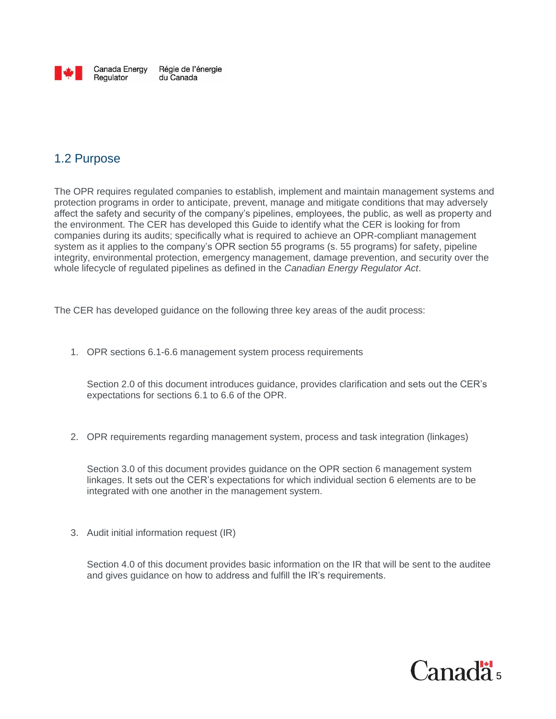

# <span id="page-4-0"></span>1.2 Purpose

The OPR requires regulated companies to establish, implement and maintain management systems and protection programs in order to anticipate, prevent, manage and mitigate conditions that may adversely affect the safety and security of the company's pipelines, employees, the public, as well as property and the environment. The CER has developed this Guide to identify what the CER is looking for from companies during its audits; specifically what is required to achieve an OPR-compliant management system as it applies to the company's OPR section 55 programs (s. 55 programs) for safety, pipeline integrity, environmental protection, emergency management, damage prevention, and security over the whole lifecycle of regulated pipelines as defined in the *Canadian Energy Regulator Act*.

The CER has developed guidance on the following three key areas of the audit process:

1. OPR sections 6.1-6.6 management system process requirements

Section 2.0 of this document introduces guidance, provides clarification and sets out the CER's expectations for sections 6.1 to 6.6 of the OPR.

2. OPR requirements regarding management system, process and task integration (linkages)

Section 3.0 of this document provides guidance on the OPR section 6 management system linkages. It sets out the CER's expectations for which individual section 6 elements are to be integrated with one another in the management system.

3. Audit initial information request (IR)

Section 4.0 of this document provides basic information on the IR that will be sent to the auditee and gives guidance on how to address and fulfill the IR's requirements.

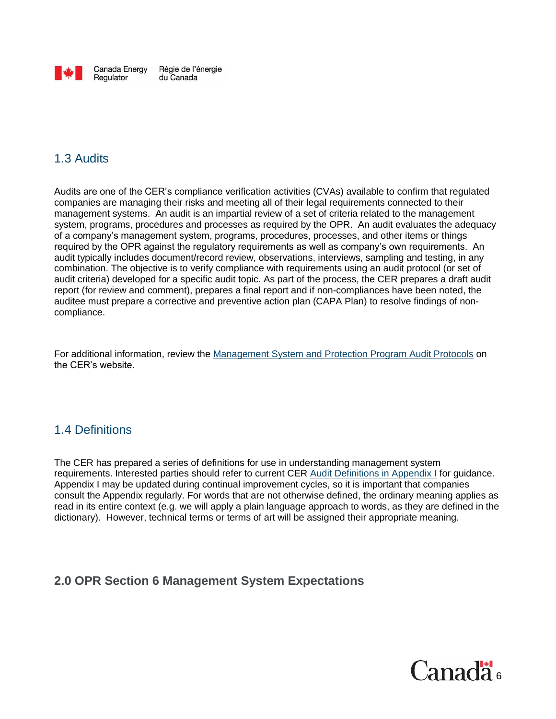

# <span id="page-5-0"></span>1.3 Audits

Audits are one of the CER's compliance verification activities (CVAs) available to confirm that regulated companies are managing their risks and meeting all of their legal requirements connected to their management systems. An audit is an impartial review of a set of criteria related to the management system, programs, procedures and processes as required by the OPR. An audit evaluates the adequacy of a company's management system, programs, procedures, processes, and other items or things required by the OPR against the regulatory requirements as well as company's own requirements. An audit typically includes document/record review, observations, interviews, sampling and testing, in any combination. The objective is to verify compliance with requirements using an audit protocol (or set of audit criteria) developed for a specific audit topic. As part of the process, the CER prepares a draft audit report (for review and comment), prepares a final report and if non-compliances have been noted, the auditee must prepare a corrective and preventive action plan (CAPA Plan) to resolve findings of noncompliance.

For additional information, review the [Management System and Protection Program Audit Protocols](pcdocs://NEB_DM_PROD/1301621/1) on the CER's website.

# <span id="page-5-1"></span>1.4 Definitions

The CER has prepared a series of definitions for use in understanding management system requirements. Interested parties should refer to current CER [Audit Definitions](#page-34-0) in Appendix I for guidance. Appendix I may be updated during continual improvement cycles, so it is important that companies consult the Appendix regularly. For words that are not otherwise defined, the ordinary meaning applies as read in its entire context (e.g. we will apply a plain language approach to words, as they are defined in the dictionary). However, technical terms or terms of art will be assigned their appropriate meaning.

# <span id="page-5-2"></span>**2.0 OPR Section 6 Management System Expectations**

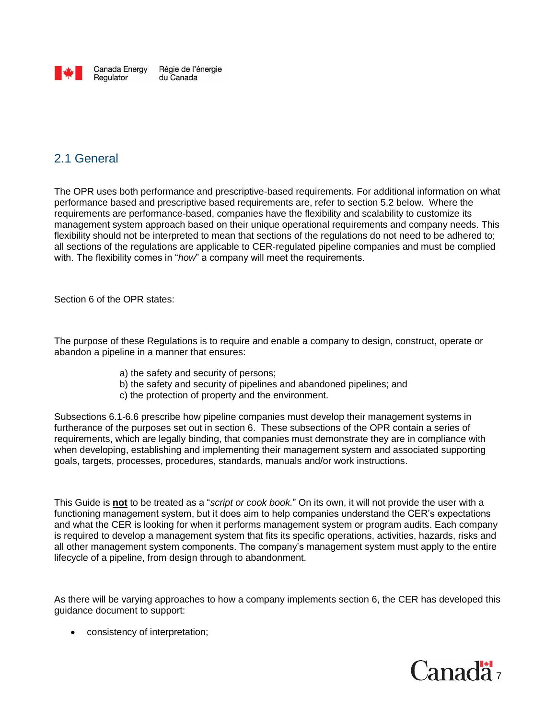

# <span id="page-6-0"></span>2.1 General

The OPR uses both performance and prescriptive-based requirements. For additional information on what performance based and prescriptive based requirements are, refer to section 5.2 below. Where the requirements are performance-based, companies have the flexibility and scalability to customize its management system approach based on their unique operational requirements and company needs. This flexibility should not be interpreted to mean that sections of the regulations do not need to be adhered to; all sections of the regulations are applicable to CER-regulated pipeline companies and must be complied with. The flexibility comes in "*how*" a company will meet the requirements.

Section 6 of the OPR states:

The purpose of these Regulations is to require and enable a company to design, construct, operate or abandon a pipeline in a manner that ensures:

- a) the safety and security of persons;
- b) the safety and security of pipelines and abandoned pipelines; and
- c) the protection of property and the environment.

Subsections 6.1-6.6 prescribe how pipeline companies must develop their management systems in furtherance of the purposes set out in section 6. These subsections of the OPR contain a series of requirements, which are legally binding, that companies must demonstrate they are in compliance with when developing, establishing and implementing their management system and associated supporting goals, targets, processes, procedures, standards, manuals and/or work instructions.

This Guide is **not** to be treated as a "*script or cook book.*" On its own, it will not provide the user with a functioning management system, but it does aim to help companies understand the CER's expectations and what the CER is looking for when it performs management system or program audits. Each company is required to develop a management system that fits its specific operations, activities, hazards, risks and all other management system components. The company's management system must apply to the entire lifecycle of a pipeline, from design through to abandonment.

As there will be varying approaches to how a company implements section 6, the CER has developed this guidance document to support:

consistency of interpretation;

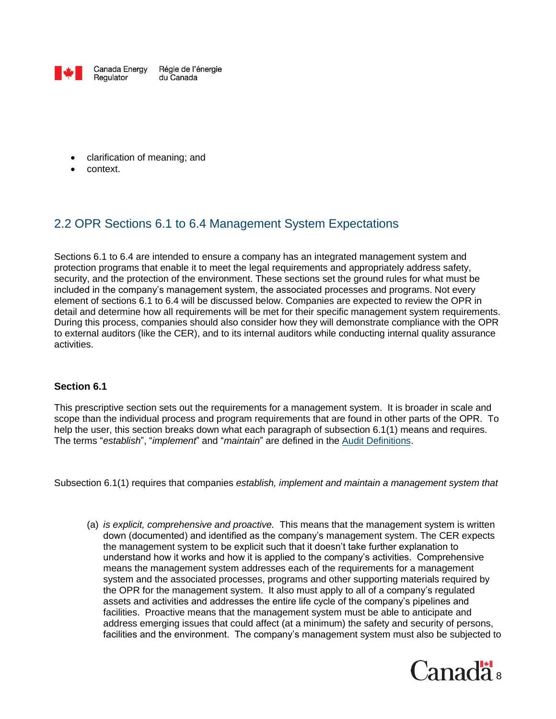

- clarification of meaning; and
- context.

# <span id="page-7-0"></span>2.2 OPR Sections 6.1 to 6.4 Management System Expectations

Sections 6.1 to 6.4 are intended to ensure a company has an integrated management system and protection programs that enable it to meet the legal requirements and appropriately address safety, security, and the protection of the environment. These sections set the ground rules for what must be included in the company's management system, the associated processes and programs. Not every element of sections 6.1 to 6.4 will be discussed below. Companies are expected to review the OPR in detail and determine how all requirements will be met for their specific management system requirements. During this process, companies should also consider how they will demonstrate compliance with the OPR to external auditors (like the CER), and to its internal auditors while conducting internal quality assurance activities.

## **Section 6.1**

This prescriptive section sets out the requirements for a management system. It is broader in scale and scope than the individual process and program requirements that are found in other parts of the OPR. To help the user, this section breaks down what each paragraph of subsection 6.1(1) means and requires. The terms "*establish*", "*implement*" and "*maintain*" are defined in the [Audit Definitions.](#page-34-0)

Subsection 6.1(1) requires that companies *establish, implement and maintain a management system that*

(a) *is explicit, comprehensive and proactive.* This means that the management system is written down (documented) and identified as the company's management system. The CER expects the management system to be explicit such that it doesn't take further explanation to understand how it works and how it is applied to the company's activities. Comprehensive means the management system addresses each of the requirements for a management system and the associated processes, programs and other supporting materials required by the OPR for the management system. It also must apply to all of a company's regulated assets and activities and addresses the entire life cycle of the company's pipelines and facilities. Proactive means that the management system must be able to anticipate and address emerging issues that could affect (at a minimum) the safety and security of persons, facilities and the environment. The company's management system must also be subjected to

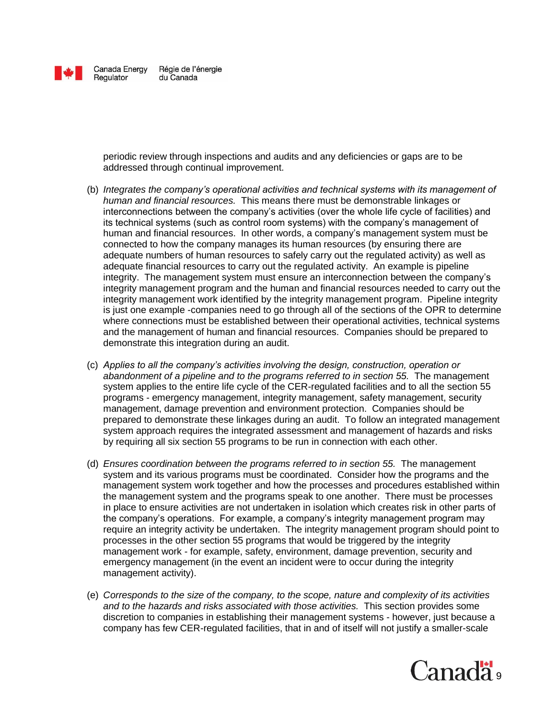

periodic review through inspections and audits and any deficiencies or gaps are to be addressed through continual improvement.

- (b) *Integrates the company's operational activities and technical systems with its management of human and financial resources.* This means there must be demonstrable linkages or interconnections between the company's activities (over the whole life cycle of facilities) and its technical systems (such as control room systems) with the company's management of human and financial resources. In other words, a company's management system must be connected to how the company manages its human resources (by ensuring there are adequate numbers of human resources to safely carry out the regulated activity) as well as adequate financial resources to carry out the regulated activity. An example is pipeline integrity. The management system must ensure an interconnection between the company's integrity management program and the human and financial resources needed to carry out the integrity management work identified by the integrity management program. Pipeline integrity is just one example -companies need to go through all of the sections of the OPR to determine where connections must be established between their operational activities, technical systems and the management of human and financial resources. Companies should be prepared to demonstrate this integration during an audit.
- (c) *Applies to all the company's activities involving the design, construction, operation or abandonment of a pipeline and to the programs referred to in section 55.* The management system applies to the entire life cycle of the CER-regulated facilities and to all the section 55 programs - emergency management, integrity management, safety management, security management, damage prevention and environment protection. Companies should be prepared to demonstrate these linkages during an audit. To follow an integrated management system approach requires the integrated assessment and management of hazards and risks by requiring all six section 55 programs to be run in connection with each other.
- (d) *Ensures coordination between the programs referred to in section 55.* The management system and its various programs must be coordinated. Consider how the programs and the management system work together and how the processes and procedures established within the management system and the programs speak to one another. There must be processes in place to ensure activities are not undertaken in isolation which creates risk in other parts of the company's operations. For example, a company's integrity management program may require an integrity activity be undertaken. The integrity management program should point to processes in the other section 55 programs that would be triggered by the integrity management work - for example, safety, environment, damage prevention, security and emergency management (in the event an incident were to occur during the integrity management activity).
- (e) *Corresponds to the size of the company, to the scope, nature and complexity of its activities and to the hazards and risks associated with those activities.* This section provides some discretion to companies in establishing their management systems - however, just because a company has few CER-regulated facilities, that in and of itself will not justify a smaller-scale

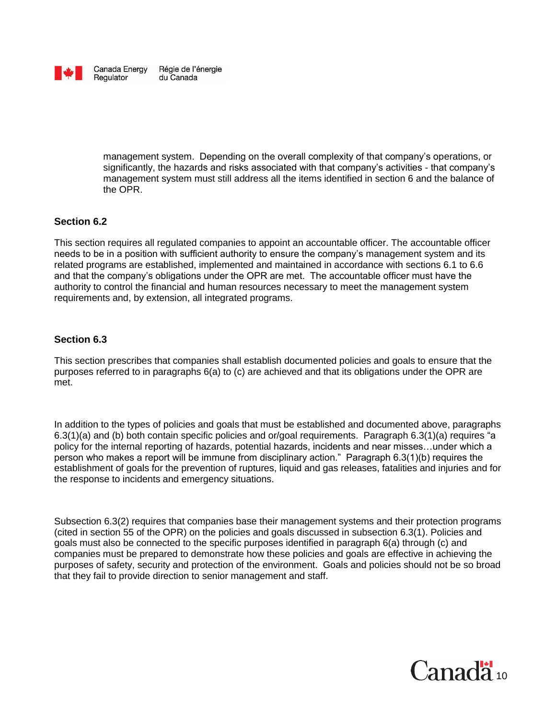> management system. Depending on the overall complexity of that company's operations, or significantly, the hazards and risks associated with that company's activities - that company's management system must still address all the items identified in section 6 and the balance of the OPR.

## **Section 6.2**

This section requires all regulated companies to appoint an accountable officer. The accountable officer needs to be in a position with sufficient authority to ensure the company's management system and its related programs are established, implemented and maintained in accordance with sections 6.1 to 6.6 and that the company's obligations under the OPR are met. The accountable officer must have the authority to control the financial and human resources necessary to meet the management system requirements and, by extension, all integrated programs.

## **Section 6.3**

This section prescribes that companies shall establish documented policies and goals to ensure that the purposes referred to in paragraphs 6(a) to (c) are achieved and that its obligations under the OPR are met.

In addition to the types of policies and goals that must be established and documented above, paragraphs 6.3(1)(a) and (b) both contain specific policies and or/goal requirements. Paragraph 6.3(1)(a) requires "a policy for the internal reporting of hazards, potential hazards, incidents and near misses…under which a person who makes a report will be immune from disciplinary action." Paragraph 6.3(1)(b) requires the establishment of goals for the prevention of ruptures, liquid and gas releases, fatalities and injuries and for the response to incidents and emergency situations.

Subsection 6.3(2) requires that companies base their management systems and their protection programs (cited in section 55 of the OPR) on the policies and goals discussed in subsection 6.3(1). Policies and goals must also be connected to the specific purposes identified in paragraph 6(a) through (c) and companies must be prepared to demonstrate how these policies and goals are effective in achieving the purposes of safety, security and protection of the environment. Goals and policies should not be so broad that they fail to provide direction to senior management and staff.

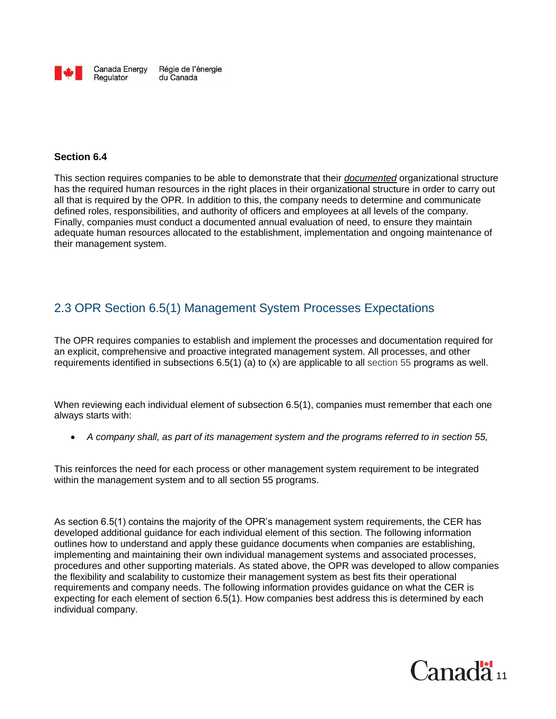

## **Section 6.4**

This section requires companies to be able to demonstrate that their *documented* organizational structure has the required human resources in the right places in their organizational structure in order to carry out all that is required by the OPR. In addition to this, the company needs to determine and communicate defined roles, responsibilities, and authority of officers and employees at all levels of the company. Finally, companies must conduct a documented annual evaluation of need, to ensure they maintain adequate human resources allocated to the establishment, implementation and ongoing maintenance of their management system.

# <span id="page-10-0"></span>2.3 OPR Section 6.5(1) Management System Processes Expectations

The OPR requires companies to establish and implement the processes and documentation required for an explicit, comprehensive and proactive integrated management system. All processes, and other requirements identified in subsections 6.5(1) (a) to (x) are applicable to all section 55 programs as well.

When reviewing each individual element of subsection 6.5(1), companies must remember that each one always starts with:

*A company shall, as part of its management system and the programs referred to in section 55,* 

This reinforces the need for each process or other management system requirement to be integrated within the management system and to all section 55 programs.

As section 6.5(1) contains the majority of the OPR's management system requirements, the CER has developed additional guidance for each individual element of this section. The following information outlines how to understand and apply these guidance documents when companies are establishing, implementing and maintaining their own individual management systems and associated processes, procedures and other supporting materials. As stated above, the OPR was developed to allow companies the flexibility and scalability to customize their management system as best fits their operational requirements and company needs. The following information provides guidance on what the CER is expecting for each element of section 6.5(1). How companies best address this is determined by each individual company.

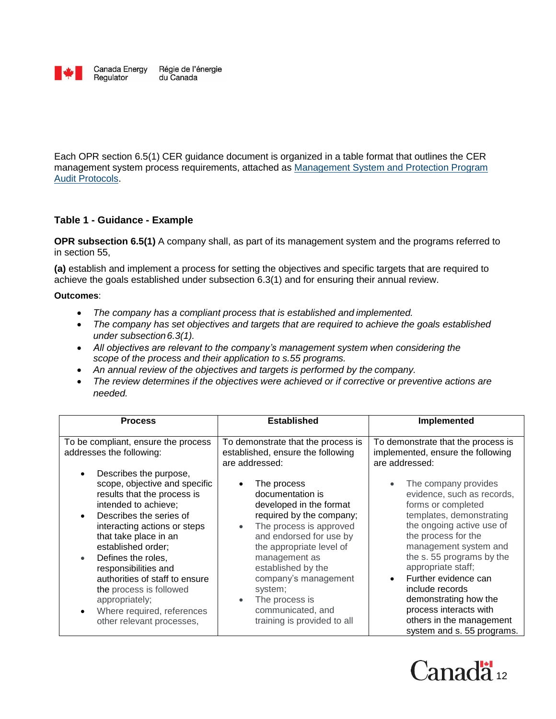

Each OPR section 6.5(1) CER guidance document is organized in a table format that outlines the CER management system process requirements, attached as [Management System and Protection Program](pcdocs://NEB_DM_PROD/1301621/1)  [Audit Protocols.](pcdocs://NEB_DM_PROD/1301621/1)

# **Table 1 - Guidance - Example**

**OPR subsection 6.5(1)** A company shall, as part of its management system and the programs referred to in section 55,

**(a)** establish and implement a process for setting the objectives and specific targets that are required to achieve the goals established under subsection 6.3(1) and for ensuring their annual review.

#### **Outcomes**:

- *The company has a compliant process that is established and implemented.*
- *The company has set objectives and targets that are required to achieve the goals established under subsection6.3(1).*
- *All objectives are relevant to the company's management system when considering the scope of the process and their application to s.55 programs.*
- *An annual review of the objectives and targets is performed by the company.*
- *The review determines if the objectives were achieved or if corrective or preventive actions are needed.*

| <b>Process</b>                                                                                                                                                                                                                                                                                                                                                                                                                                                       | <b>Established</b>                                                                                                                                                                                                                                                                                                       | Implemented                                                                                                                                                                                                                                                                                                                                                                                               |
|----------------------------------------------------------------------------------------------------------------------------------------------------------------------------------------------------------------------------------------------------------------------------------------------------------------------------------------------------------------------------------------------------------------------------------------------------------------------|--------------------------------------------------------------------------------------------------------------------------------------------------------------------------------------------------------------------------------------------------------------------------------------------------------------------------|-----------------------------------------------------------------------------------------------------------------------------------------------------------------------------------------------------------------------------------------------------------------------------------------------------------------------------------------------------------------------------------------------------------|
| To be compliant, ensure the process<br>addresses the following:                                                                                                                                                                                                                                                                                                                                                                                                      | To demonstrate that the process is<br>established, ensure the following<br>are addressed:                                                                                                                                                                                                                                | To demonstrate that the process is<br>implemented, ensure the following<br>are addressed:                                                                                                                                                                                                                                                                                                                 |
| Describes the purpose,<br>$\bullet$<br>scope, objective and specific<br>results that the process is<br>intended to achieve;<br>Describes the series of<br>$\bullet$<br>interacting actions or steps<br>that take place in an<br>established order;<br>Defines the roles,<br>$\bullet$<br>responsibilities and<br>authorities of staff to ensure<br>the process is followed<br>appropriately;<br>Where required, references<br>$\bullet$<br>other relevant processes, | The process<br>documentation is<br>developed in the format<br>required by the company;<br>The process is approved<br>and endorsed for use by<br>the appropriate level of<br>management as<br>established by the<br>company's management<br>system;<br>The process is<br>communicated, and<br>training is provided to all | The company provides<br>evidence, such as records,<br>forms or completed<br>templates, demonstrating<br>the ongoing active use of<br>the process for the<br>management system and<br>the s. 55 programs by the<br>appropriate staff;<br>Further evidence can<br>$\bullet$<br>include records<br>demonstrating how the<br>process interacts with<br>others in the management<br>system and s. 55 programs. |

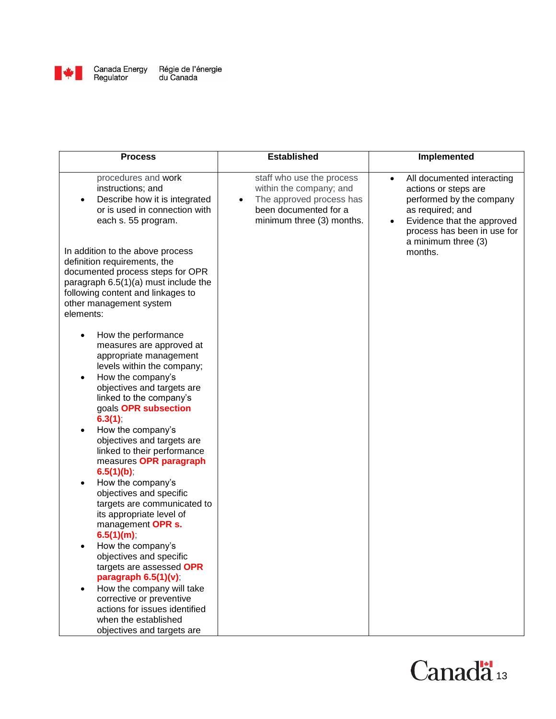

| <b>Process</b>                                                                                                                                                                                                                                                                                                                                                                                                                                                                                                                                                                                                                                                                                                                                                   | <b>Established</b>                                                                                                                                  | Implemented                                                                                                                                                                               |
|------------------------------------------------------------------------------------------------------------------------------------------------------------------------------------------------------------------------------------------------------------------------------------------------------------------------------------------------------------------------------------------------------------------------------------------------------------------------------------------------------------------------------------------------------------------------------------------------------------------------------------------------------------------------------------------------------------------------------------------------------------------|-----------------------------------------------------------------------------------------------------------------------------------------------------|-------------------------------------------------------------------------------------------------------------------------------------------------------------------------------------------|
| procedures and work<br>instructions; and<br>Describe how it is integrated<br>or is used in connection with<br>each s. 55 program.                                                                                                                                                                                                                                                                                                                                                                                                                                                                                                                                                                                                                                | staff who use the process<br>within the company; and<br>The approved process has<br>$\bullet$<br>been documented for a<br>minimum three (3) months. | All documented interacting<br>$\bullet$<br>actions or steps are<br>performed by the company<br>as required; and<br>Evidence that the approved<br>$\bullet$<br>process has been in use for |
| In addition to the above process<br>definition requirements, the<br>documented process steps for OPR<br>paragraph 6.5(1)(a) must include the<br>following content and linkages to<br>other management system<br>elements:                                                                                                                                                                                                                                                                                                                                                                                                                                                                                                                                        |                                                                                                                                                     | a minimum three (3)<br>months.                                                                                                                                                            |
| How the performance<br>measures are approved at<br>appropriate management<br>levels within the company;<br>How the company's<br>objectives and targets are<br>linked to the company's<br>goals OPR subsection<br>$6.3(1)$ ;<br>How the company's<br>objectives and targets are<br>linked to their performance<br>measures OPR paragraph<br>$6.5(1)(b)$ ;<br>How the company's<br>objectives and specific<br>targets are communicated to<br>its appropriate level of<br>management OPR s.<br>$6.5(1)(m)$ ;<br>How the company's<br>objectives and specific<br>targets are assessed OPR<br>paragraph $6.5(1)(v)$ ;<br>How the company will take<br>corrective or preventive<br>actions for issues identified<br>when the established<br>objectives and targets are |                                                                                                                                                     |                                                                                                                                                                                           |

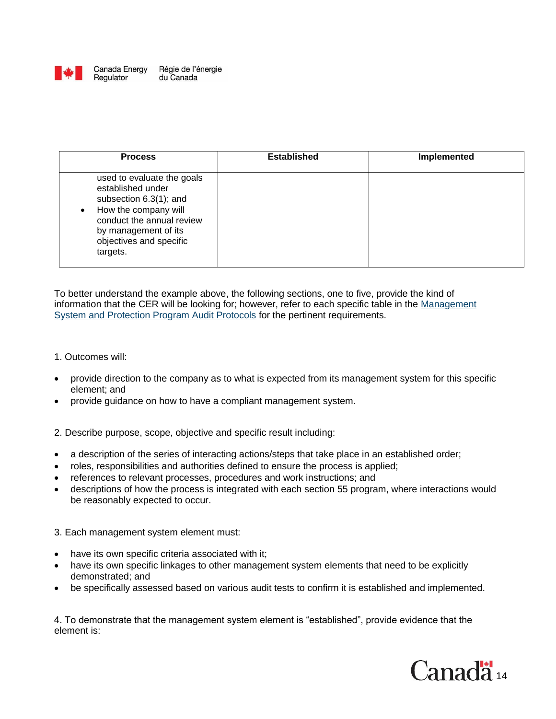

| <b>Process</b>                                                                                                                                                                                | <b>Established</b> | Implemented |
|-----------------------------------------------------------------------------------------------------------------------------------------------------------------------------------------------|--------------------|-------------|
| used to evaluate the goals<br>established under<br>subsection 6.3(1); and<br>How the company will<br>conduct the annual review<br>by management of its<br>objectives and specific<br>targets. |                    |             |

To better understand the example above, the following sections, one to five, provide the kind of information that the CER will be looking for; however, refer to each specific table in the Management [System and Protection Program Audit Protocols](pcdocs://NEB_DM_PROD/1301621/1) for the pertinent requirements.

- 1. Outcomes will:
- provide direction to the company as to what is expected from its management system for this specific element; and
- provide guidance on how to have a compliant management system.
- 2. Describe purpose, scope, objective and specific result including:
- a description of the series of interacting actions/steps that take place in an established order;
- roles, responsibilities and authorities defined to ensure the process is applied;
- references to relevant processes, procedures and work instructions; and
- descriptions of how the process is integrated with each section 55 program, where interactions would be reasonably expected to occur.
- 3. Each management system element must:
- have its own specific criteria associated with it;
- have its own specific linkages to other management system elements that need to be explicitly demonstrated; and
- be specifically assessed based on various audit tests to confirm it is established and implemented.

4. To demonstrate that the management system element is "established", provide evidence that the element is:

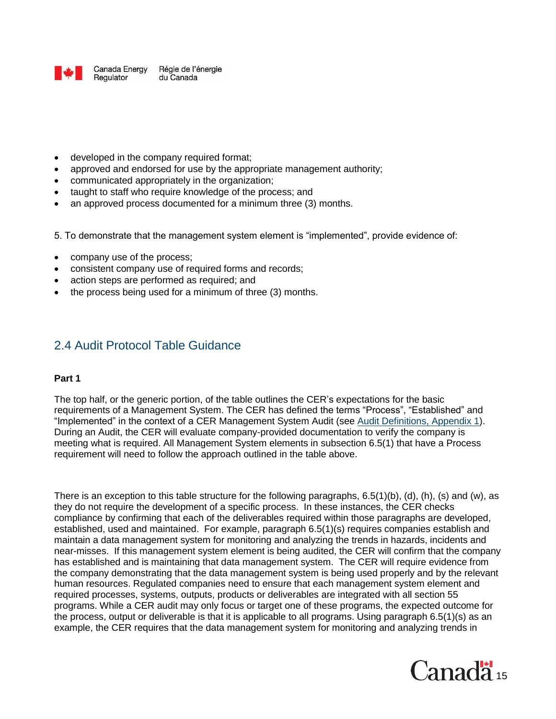

- developed in the company required format;
- approved and endorsed for use by the appropriate management authority;
- communicated appropriately in the organization;
- taught to staff who require knowledge of the process; and
- an approved process documented for a minimum three (3) months.
- 5. To demonstrate that the management system element is "implemented", provide evidence of:
- company use of the process;
- consistent company use of required forms and records;
- action steps are performed as required; and
- the process being used for a minimum of three (3) months.

# <span id="page-14-0"></span>2.4 Audit Protocol Table Guidance

#### **Part 1**

The top half, or the generic portion, of the table outlines the CER's expectations for the basic requirements of a Management System. The CER has defined the terms "Process", "Established" and "Implemented" in the context of a CER Management System Audit (see [Audit Definitions,](#page-34-0) Appendix 1). During an Audit, the CER will evaluate company-provided documentation to verify the company is meeting what is required. All Management System elements in subsection 6.5(1) that have a Process requirement will need to follow the approach outlined in the table above.

There is an exception to this table structure for the following paragraphs, 6.5(1)(b), (d), (h), (s) and (w), as they do not require the development of a specific process. In these instances, the CER checks compliance by confirming that each of the deliverables required within those paragraphs are developed, established, used and maintained. For example, paragraph 6.5(1)(s) requires companies establish and maintain a data management system for monitoring and analyzing the trends in hazards, incidents and near-misses. If this management system element is being audited, the CER will confirm that the company has established and is maintaining that data management system. The CER will require evidence from the company demonstrating that the data management system is being used properly and by the relevant human resources. Regulated companies need to ensure that each management system element and required processes, systems, outputs, products or deliverables are integrated with all section 55 programs. While a CER audit may only focus or target one of these programs, the expected outcome for the process, output or deliverable is that it is applicable to all programs. Using paragraph 6.5(1)(s) as an example, the CER requires that the data management system for monitoring and analyzing trends in

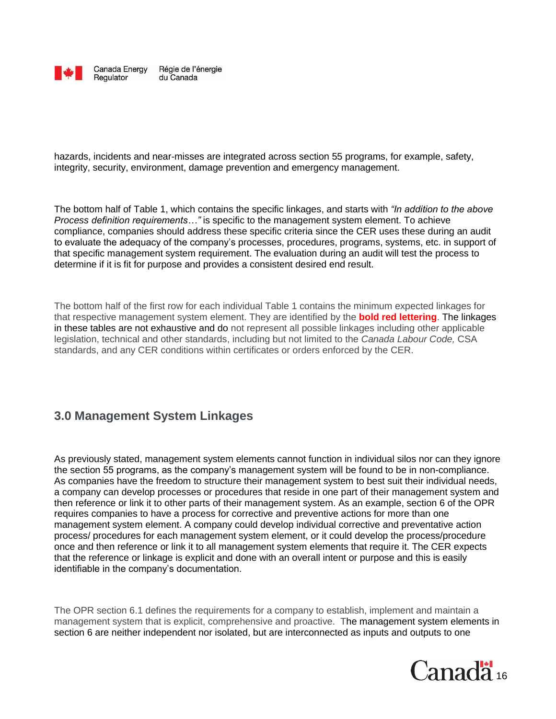

hazards, incidents and near-misses are integrated across section 55 programs, for example, safety, integrity, security, environment, damage prevention and emergency management.

The bottom half of Table 1, which contains the specific linkages, and starts with *"In addition to the above Process definition requirements…"* is specific to the management system element. To achieve compliance, companies should address these specific criteria since the CER uses these during an audit to evaluate the adequacy of the company's processes, procedures, programs, systems, etc. in support of that specific management system requirement. The evaluation during an audit will test the process to determine if it is fit for purpose and provides a consistent desired end result.

The bottom half of the first row for each individual Table 1 contains the minimum expected linkages for that respective management system element. They are identified by the **bold red lettering**. The linkages in these tables are not exhaustive and do not represent all possible linkages including other applicable legislation, technical and other standards, including but not limited to the *Canada Labour Code,* CSA standards, and any CER conditions within certificates or orders enforced by the CER.

# <span id="page-15-0"></span>**3.0 Management System Linkages**

As previously stated, management system elements cannot function in individual silos nor can they ignore the section 55 programs, as the company's management system will be found to be in non-compliance. As companies have the freedom to structure their management system to best suit their individual needs, a company can develop processes or procedures that reside in one part of their management system and then reference or link it to other parts of their management system. As an example, section 6 of the OPR requires companies to have a process for corrective and preventive actions for more than one management system element. A company could develop individual corrective and preventative action process/ procedures for each management system element, or it could develop the process/procedure once and then reference or link it to all management system elements that require it. The CER expects that the reference or linkage is explicit and done with an overall intent or purpose and this is easily identifiable in the company's documentation.

The OPR section 6.1 defines the requirements for a company to establish, implement and maintain a management system that is explicit, comprehensive and proactive. The management system elements in section 6 are neither independent nor isolated, but are interconnected as inputs and outputs to one

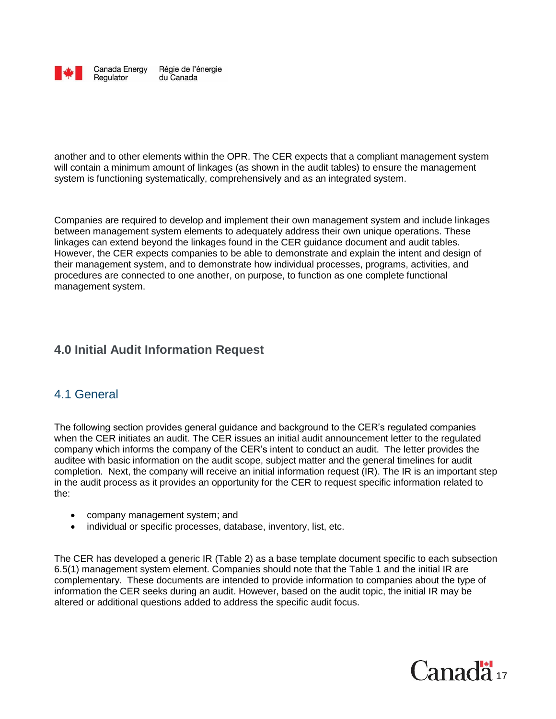

another and to other elements within the OPR. The CER expects that a compliant management system will contain a minimum amount of linkages (as shown in the audit tables) to ensure the management system is functioning systematically, comprehensively and as an integrated system.

Companies are required to develop and implement their own management system and include linkages between management system elements to adequately address their own unique operations. These linkages can extend beyond the linkages found in the CER guidance document and audit tables. However, the CER expects companies to be able to demonstrate and explain the intent and design of their management system, and to demonstrate how individual processes, programs, activities, and procedures are connected to one another, on purpose, to function as one complete functional management system.

# <span id="page-16-0"></span>**4.0 Initial Audit Information Request**

# <span id="page-16-1"></span>4.1 General

The following section provides general guidance and background to the CER's regulated companies when the CER initiates an audit. The CER issues an initial audit announcement letter to the regulated company which informs the company of the CER's intent to conduct an audit. The letter provides the auditee with basic information on the audit scope, subject matter and the general timelines for audit completion. Next, the company will receive an initial information request (IR). The IR is an important step in the audit process as it provides an opportunity for the CER to request specific information related to the:

- company management system; and
- individual or specific processes, database, inventory, list, etc.

The CER has developed a generic IR (Table 2) as a base template document specific to each subsection 6.5(1) management system element. Companies should note that the Table 1 and the initial IR are complementary. These documents are intended to provide information to companies about the type of information the CER seeks during an audit. However, based on the audit topic, the initial IR may be altered or additional questions added to address the specific audit focus.

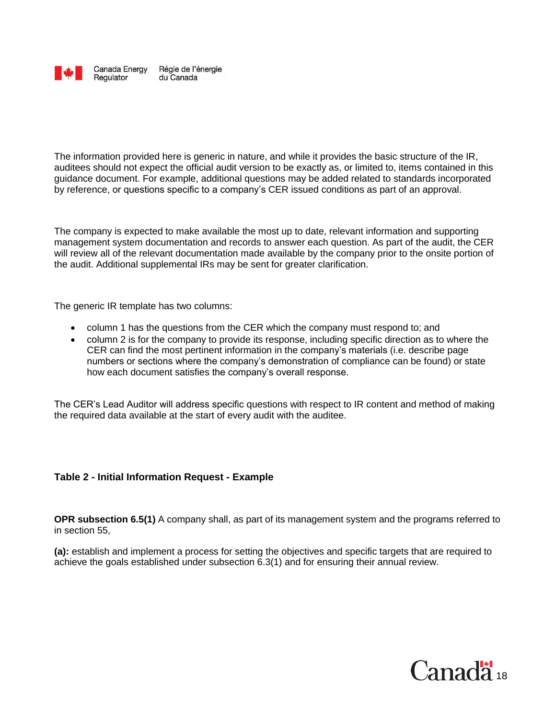

The information provided here is generic in nature, and while it provides the basic structure of the IR, auditees should not expect the official audit version to be exactly as, or limited to, items contained in this guidance document. For example, additional questions may be added related to standards incorporated by reference, or questions specific to a company's CER issued conditions as part of an approval.

The company is expected to make available the most up to date, relevant information and supporting management system documentation and records to answer each question. As part of the audit, the CER will review all of the relevant documentation made available by the company prior to the onsite portion of the audit. Additional supplemental IRs may be sent for greater clarification.

The generic IR template has two columns:

- column 1 has the questions from the CER which the company must respond to; and
- column 2 is for the company to provide its response, including specific direction as to where the CER can find the most pertinent information in the company's materials (i.e. describe page numbers or sections where the company's demonstration of compliance can be found) or state how each document satisfies the company's overall response.

The CER's Lead Auditor will address specific questions with respect to IR content and method of making the required data available at the start of every audit with the auditee.

## **Table 2 - Initial Information Request - Example**

**OPR subsection 6.5(1)** A company shall, as part of its management system and the programs referred to in section 55,

**(a):** establish and implement a process for setting the objectives and specific targets that are required to achieve the goals established under subsection 6.3(1) and for ensuring their annual review.

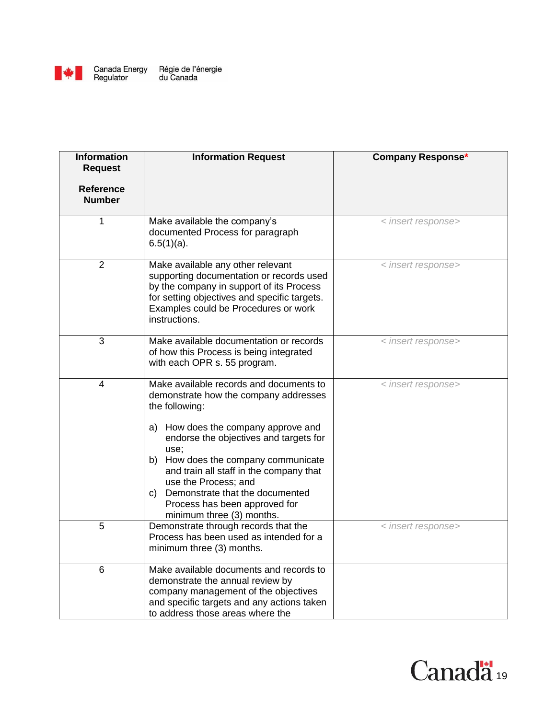

| <b>Information</b><br><b>Request</b><br><b>Reference</b><br><b>Number</b> | <b>Information Request</b>                                                                                                                                                                                                                                                                                                                                                                                      | <b>Company Response*</b> |
|---------------------------------------------------------------------------|-----------------------------------------------------------------------------------------------------------------------------------------------------------------------------------------------------------------------------------------------------------------------------------------------------------------------------------------------------------------------------------------------------------------|--------------------------|
|                                                                           |                                                                                                                                                                                                                                                                                                                                                                                                                 |                          |
| 1                                                                         | Make available the company's<br>documented Process for paragraph<br>$6.5(1)(a)$ .                                                                                                                                                                                                                                                                                                                               | < insert response>       |
| $\overline{2}$                                                            | Make available any other relevant<br>supporting documentation or records used<br>by the company in support of its Process<br>for setting objectives and specific targets.<br>Examples could be Procedures or work<br>instructions.                                                                                                                                                                              | < insert response>       |
| 3                                                                         | Make available documentation or records<br>of how this Process is being integrated<br>with each OPR s. 55 program.                                                                                                                                                                                                                                                                                              | < insert response>       |
| 4                                                                         | Make available records and documents to<br>demonstrate how the company addresses<br>the following:<br>a) How does the company approve and<br>endorse the objectives and targets for<br>use:<br>b)<br>How does the company communicate<br>and train all staff in the company that<br>use the Process; and<br>Demonstrate that the documented<br>C)<br>Process has been approved for<br>minimum three (3) months. | < insert response>       |
| 5                                                                         | Demonstrate through records that the<br>Process has been used as intended for a<br>minimum three (3) months.                                                                                                                                                                                                                                                                                                    | < insert response>       |
| 6                                                                         | Make available documents and records to<br>demonstrate the annual review by<br>company management of the objectives<br>and specific targets and any actions taken<br>to address those areas where the                                                                                                                                                                                                           |                          |

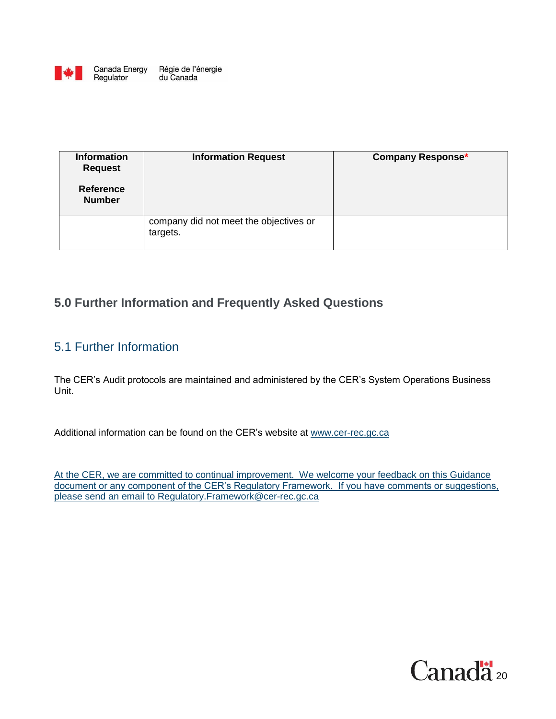

| <b>Information</b><br><b>Request</b><br><b>Reference</b><br><b>Number</b> | <b>Information Request</b>                         | <b>Company Response*</b> |
|---------------------------------------------------------------------------|----------------------------------------------------|--------------------------|
|                                                                           | company did not meet the objectives or<br>targets. |                          |

# <span id="page-19-0"></span>**5.0 Further Information and Frequently Asked Questions**

# <span id="page-19-1"></span>5.1 Further Information

The CER's Audit protocols are maintained and administered by the CER's System Operations Business Unit.

Additional information can be found on the CER's website at [www.cer-rec.gc.ca](http://www.cer-rec.gc.ca/)

At the CER, we are committed to continual improvement. We welcome your feedback on this Guidance document or any component of the CER's Regulatory Framework. If you have comments or suggestions, please send an email to Regulatory.Framework@cer-rec.gc.ca

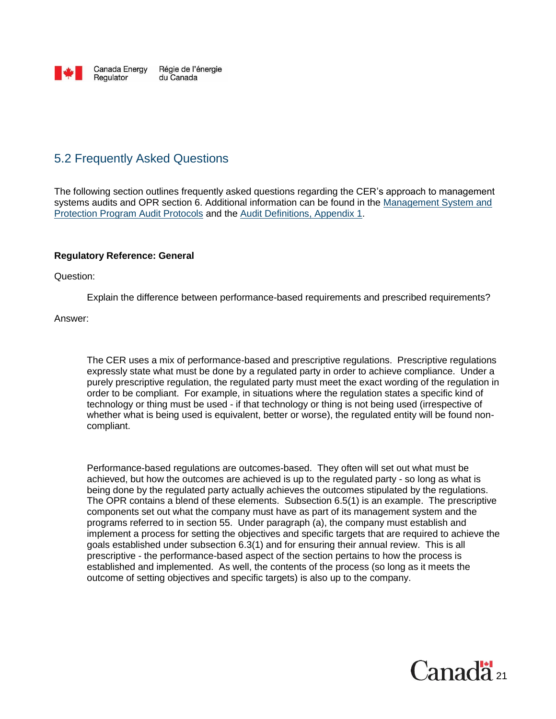

# <span id="page-20-0"></span>5.2 Frequently Asked Questions

The following section outlines frequently asked questions regarding the CER's approach to management systems audits and OPR section 6. Additional information can be found in the [Management System and](pcdocs://NEB_DM_PROD/1301621/1)  [Protection Program Audit Protocols](pcdocs://NEB_DM_PROD/1301621/1) and the [Audit Definitions,](#page-34-0) Appendix 1.

#### **Regulatory Reference: General**

Question:

Explain the difference between performance-based requirements and prescribed requirements?

Answer:

The CER uses a mix of performance-based and prescriptive regulations. Prescriptive regulations expressly state what must be done by a regulated party in order to achieve compliance. Under a purely prescriptive regulation, the regulated party must meet the exact wording of the regulation in order to be compliant. For example, in situations where the regulation states a specific kind of technology or thing must be used - if that technology or thing is not being used (irrespective of whether what is being used is equivalent, better or worse), the regulated entity will be found noncompliant.

Performance-based regulations are outcomes-based. They often will set out what must be achieved, but how the outcomes are achieved is up to the regulated party - so long as what is being done by the regulated party actually achieves the outcomes stipulated by the regulations. The OPR contains a blend of these elements. Subsection 6.5(1) is an example. The prescriptive components set out what the company must have as part of its management system and the programs referred to in section 55. Under paragraph (a), the company must establish and implement a process for setting the objectives and specific targets that are required to achieve the goals established under subsection 6.3(1) and for ensuring their annual review. This is all prescriptive - the performance-based aspect of the section pertains to how the process is established and implemented. As well, the contents of the process (so long as it meets the outcome of setting objectives and specific targets) is also up to the company.

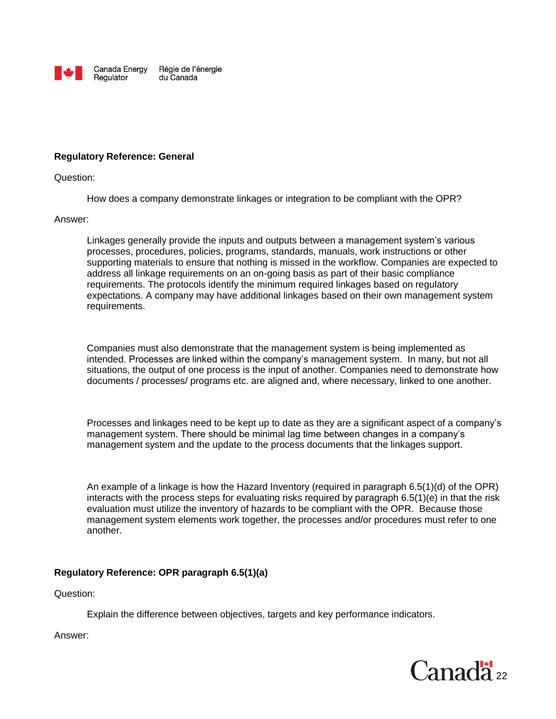

### **Regulatory Reference: General**

Question:

How does a company demonstrate linkages or integration to be compliant with the OPR?

Answer:

Linkages generally provide the inputs and outputs between a management system's various processes, procedures, policies, programs, standards, manuals, work instructions or other supporting materials to ensure that nothing is missed in the workflow. Companies are expected to address all linkage requirements on an on-going basis as part of their basic compliance requirements. The protocols identify the minimum required linkages based on regulatory expectations. A company may have additional linkages based on their own management system requirements.

Companies must also demonstrate that the management system is being implemented as intended. Processes are linked within the company's management system. In many, but not all situations, the output of one process is the input of another. Companies need to demonstrate how documents / processes/ programs etc. are aligned and, where necessary, linked to one another.

Processes and linkages need to be kept up to date as they are a significant aspect of a company's management system. There should be minimal lag time between changes in a company's management system and the update to the process documents that the linkages support.

An example of a linkage is how the Hazard Inventory (required in paragraph 6.5(1)(d) of the OPR) interacts with the process steps for evaluating risks required by paragraph 6.5(1)(e) in that the risk evaluation must utilize the inventory of hazards to be compliant with the OPR. Because those management system elements work together, the processes and/or procedures must refer to one another.

#### **Regulatory Reference: OPR paragraph 6.5(1)(a)**

Question:

Explain the difference between objectives, targets and key performance indicators.

Answer:

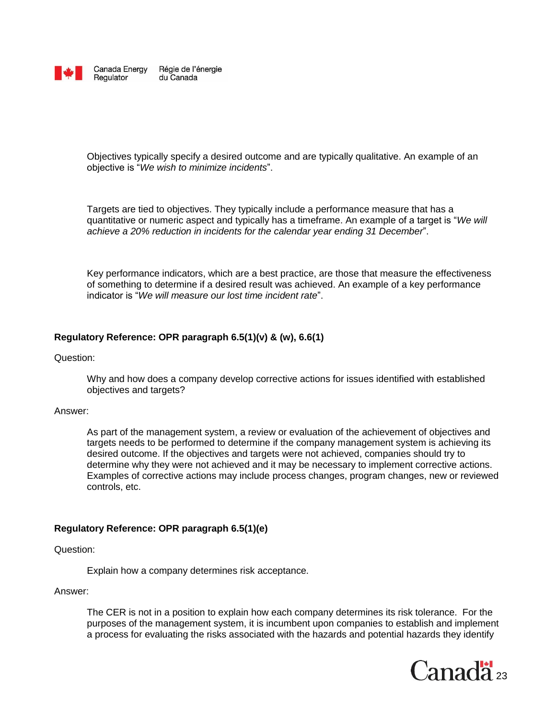

Objectives typically specify a desired outcome and are typically qualitative. An example of an objective is "*We wish to minimize incidents*".

Targets are tied to objectives. They typically include a performance measure that has a quantitative or numeric aspect and typically has a timeframe. An example of a target is "*We will achieve a 20% reduction in incidents for the calendar year ending 31 December*".

Key performance indicators, which are a best practice, are those that measure the effectiveness of something to determine if a desired result was achieved. An example of a key performance indicator is "*We will measure our lost time incident rate*".

#### **Regulatory Reference: OPR paragraph 6.5(1)(v) & (w), 6.6(1)**

#### Question:

Why and how does a company develop corrective actions for issues identified with established objectives and targets?

#### Answer:

As part of the management system, a review or evaluation of the achievement of objectives and targets needs to be performed to determine if the company management system is achieving its desired outcome. If the objectives and targets were not achieved, companies should try to determine why they were not achieved and it may be necessary to implement corrective actions. Examples of corrective actions may include process changes, program changes, new or reviewed controls, etc.

#### **Regulatory Reference: OPR paragraph 6.5(1)(e)**

Question:

Explain how a company determines risk acceptance.

Answer:

The CER is not in a position to explain how each company determines its risk tolerance. For the purposes of the management system, it is incumbent upon companies to establish and implement a process for evaluating the risks associated with the hazards and potential hazards they identify

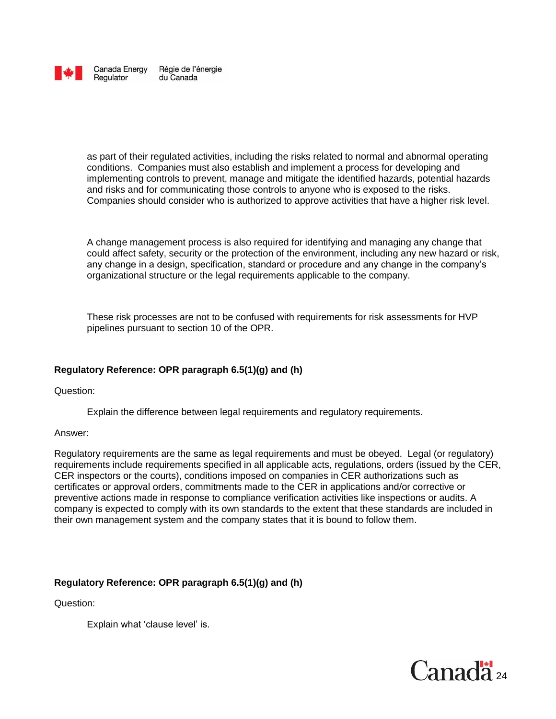

as part of their regulated activities, including the risks related to normal and abnormal operating conditions. Companies must also establish and implement a process for developing and implementing controls to prevent, manage and mitigate the identified hazards, potential hazards and risks and for communicating those controls to anyone who is exposed to the risks. Companies should consider who is authorized to approve activities that have a higher risk level.

A change management process is also required for identifying and managing any change that could affect safety, security or the protection of the environment, including any new hazard or risk, any change in a design, specification, standard or procedure and any change in the company's organizational structure or the legal requirements applicable to the company.

These risk processes are not to be confused with requirements for risk assessments for HVP pipelines pursuant to section 10 of the OPR.

# **Regulatory Reference: OPR paragraph 6.5(1)(g) and (h)**

Question:

Explain the difference between legal requirements and regulatory requirements.

## Answer:

Regulatory requirements are the same as legal requirements and must be obeyed. Legal (or regulatory) requirements include requirements specified in all applicable acts, regulations, orders (issued by the CER, CER inspectors or the courts), conditions imposed on companies in CER authorizations such as certificates or approval orders, commitments made to the CER in applications and/or corrective or preventive actions made in response to compliance verification activities like inspections or audits. A company is expected to comply with its own standards to the extent that these standards are included in their own management system and the company states that it is bound to follow them.

# **Regulatory Reference: OPR paragraph 6.5(1)(g) and (h)**

Question:

Explain what 'clause level' is.

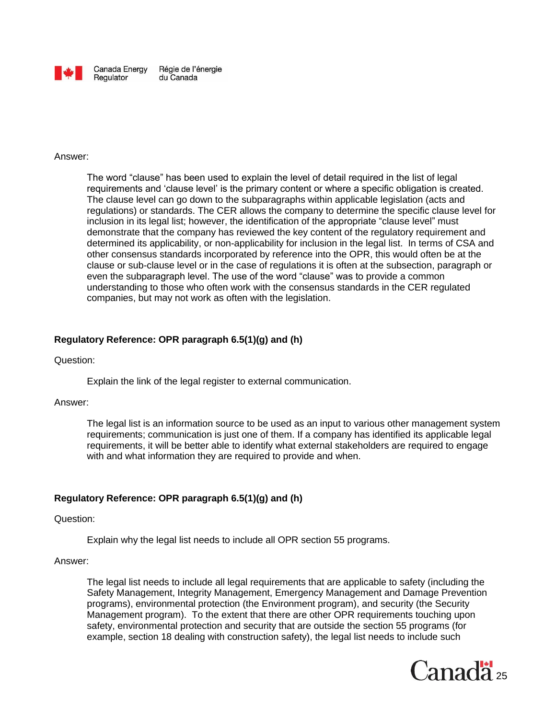

#### Answer:

The word "clause" has been used to explain the level of detail required in the list of legal requirements and 'clause level' is the primary content or where a specific obligation is created. The clause level can go down to the subparagraphs within applicable legislation (acts and regulations) or standards. The CER allows the company to determine the specific clause level for inclusion in its legal list; however, the identification of the appropriate "clause level" must demonstrate that the company has reviewed the key content of the regulatory requirement and determined its applicability, or non-applicability for inclusion in the legal list. In terms of CSA and other consensus standards incorporated by reference into the OPR, this would often be at the clause or sub-clause level or in the case of regulations it is often at the subsection, paragraph or even the subparagraph level. The use of the word "clause" was to provide a common understanding to those who often work with the consensus standards in the CER regulated companies, but may not work as often with the legislation.

## **Regulatory Reference: OPR paragraph 6.5(1)(g) and (h)**

Question:

Explain the link of the legal register to external communication.

#### Answer:

The legal list is an information source to be used as an input to various other management system requirements; communication is just one of them. If a company has identified its applicable legal requirements, it will be better able to identify what external stakeholders are required to engage with and what information they are required to provide and when.

## **Regulatory Reference: OPR paragraph 6.5(1)(g) and (h)**

#### Question:

Explain why the legal list needs to include all OPR section 55 programs.

#### Answer:

The legal list needs to include all legal requirements that are applicable to safety (including the Safety Management, Integrity Management, Emergency Management and Damage Prevention programs), environmental protection (the Environment program), and security (the Security Management program). To the extent that there are other OPR requirements touching upon safety, environmental protection and security that are outside the section 55 programs (for example, section 18 dealing with construction safety), the legal list needs to include such

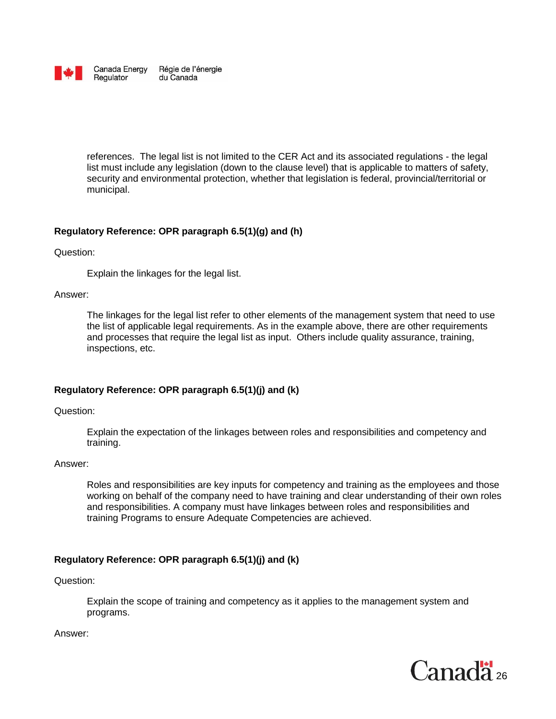

references. The legal list is not limited to the CER Act and its associated regulations - the legal list must include any legislation (down to the clause level) that is applicable to matters of safety, security and environmental protection, whether that legislation is federal, provincial/territorial or municipal.

## **Regulatory Reference: OPR paragraph 6.5(1)(g) and (h)**

#### Question:

Explain the linkages for the legal list.

#### Answer:

The linkages for the legal list refer to other elements of the management system that need to use the list of applicable legal requirements. As in the example above, there are other requirements and processes that require the legal list as input. Others include quality assurance, training, inspections, etc.

## **Regulatory Reference: OPR paragraph 6.5(1)(j) and (k)**

#### Question:

Explain the expectation of the linkages between roles and responsibilities and competency and training.

#### Answer:

Roles and responsibilities are key inputs for competency and training as the employees and those working on behalf of the company need to have training and clear understanding of their own roles and responsibilities. A company must have linkages between roles and responsibilities and training Programs to ensure Adequate Competencies are achieved.

## **Regulatory Reference: OPR paragraph 6.5(1)(j) and (k)**

Question:

Explain the scope of training and competency as it applies to the management system and programs.

Answer:

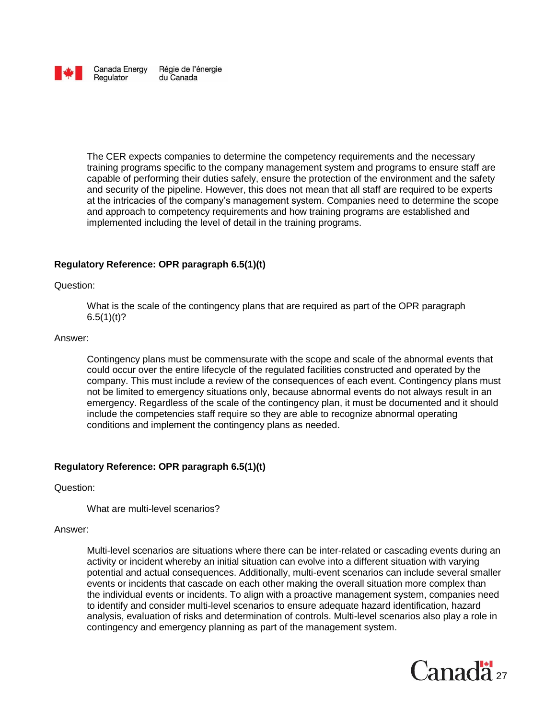

The CER expects companies to determine the competency requirements and the necessary training programs specific to the company management system and programs to ensure staff are capable of performing their duties safely, ensure the protection of the environment and the safety and security of the pipeline. However, this does not mean that all staff are required to be experts at the intricacies of the company's management system. Companies need to determine the scope and approach to competency requirements and how training programs are established and implemented including the level of detail in the training programs.

## **Regulatory Reference: OPR paragraph 6.5(1)(t)**

#### Question:

What is the scale of the contingency plans that are required as part of the OPR paragraph  $6.5(1)(t)$ ?

#### Answer:

Contingency plans must be commensurate with the scope and scale of the abnormal events that could occur over the entire lifecycle of the regulated facilities constructed and operated by the company. This must include a review of the consequences of each event. Contingency plans must not be limited to emergency situations only, because abnormal events do not always result in an emergency. Regardless of the scale of the contingency plan, it must be documented and it should include the competencies staff require so they are able to recognize abnormal operating conditions and implement the contingency plans as needed.

## **Regulatory Reference: OPR paragraph 6.5(1)(t)**

#### Question:

What are multi-level scenarios?

#### Answer:

Multi-level scenarios are situations where there can be inter-related or cascading events during an activity or incident whereby an initial situation can evolve into a different situation with varying potential and actual consequences. Additionally, multi-event scenarios can include several smaller events or incidents that cascade on each other making the overall situation more complex than the individual events or incidents. To align with a proactive management system, companies need to identify and consider multi-level scenarios to ensure adequate hazard identification, hazard analysis, evaluation of risks and determination of controls. Multi-level scenarios also play a role in contingency and emergency planning as part of the management system.

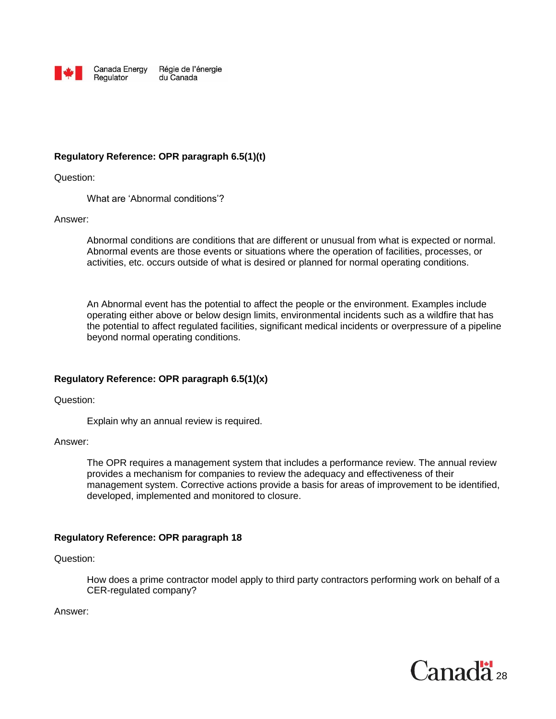

## **Regulatory Reference: OPR paragraph 6.5(1)(t)**

Question:

What are 'Abnormal conditions'?

Answer:

Abnormal conditions are conditions that are different or unusual from what is expected or normal. Abnormal events are those events or situations where the operation of facilities, processes, or activities, etc. occurs outside of what is desired or planned for normal operating conditions.

An Abnormal event has the potential to affect the people or the environment. Examples include operating either above or below design limits, environmental incidents such as a wildfire that has the potential to affect regulated facilities, significant medical incidents or overpressure of a pipeline beyond normal operating conditions.

## **Regulatory Reference: OPR paragraph 6.5(1)(x)**

Question:

Explain why an annual review is required.

Answer:

The OPR requires a management system that includes a performance review. The annual review provides a mechanism for companies to review the adequacy and effectiveness of their management system. Corrective actions provide a basis for areas of improvement to be identified, developed, implemented and monitored to closure.

## **Regulatory Reference: OPR paragraph 18**

Question:

How does a prime contractor model apply to third party contractors performing work on behalf of a CER-regulated company?

Answer:

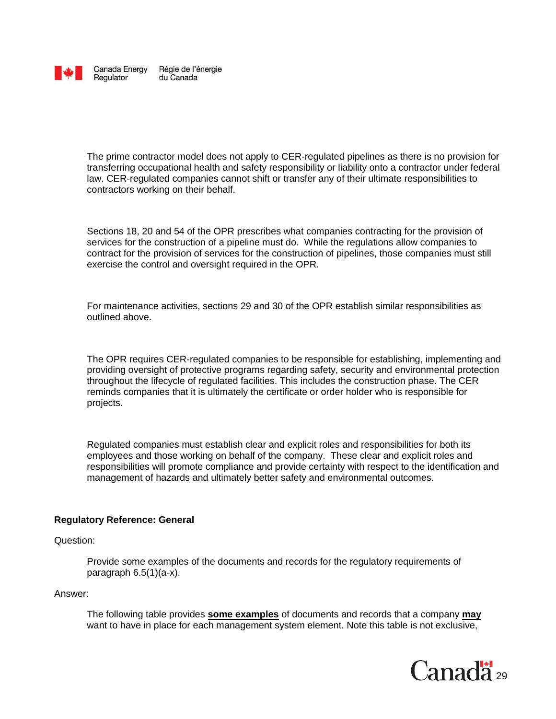

The prime contractor model does not apply to CER-regulated pipelines as there is no provision for transferring occupational health and safety responsibility or liability onto a contractor under federal law. CER-regulated companies cannot shift or transfer any of their ultimate responsibilities to contractors working on their behalf.

Sections 18, 20 and 54 of the OPR prescribes what companies contracting for the provision of services for the construction of a pipeline must do. While the regulations allow companies to contract for the provision of services for the construction of pipelines, those companies must still exercise the control and oversight required in the OPR.

For maintenance activities, sections 29 and 30 of the OPR establish similar responsibilities as outlined above.

The OPR requires CER-regulated companies to be responsible for establishing, implementing and providing oversight of protective programs regarding safety, security and environmental protection throughout the lifecycle of regulated facilities. This includes the construction phase. The CER reminds companies that it is ultimately the certificate or order holder who is responsible for projects.

Regulated companies must establish clear and explicit roles and responsibilities for both its employees and those working on behalf of the company. These clear and explicit roles and responsibilities will promote compliance and provide certainty with respect to the identification and management of hazards and ultimately better safety and environmental outcomes.

## **Regulatory Reference: General**

Question:

Provide some examples of the documents and records for the regulatory requirements of paragraph 6.5(1)(a-x).

Answer:

The following table provides **some examples** of documents and records that a company **may** want to have in place for each management system element. Note this table is not exclusive,

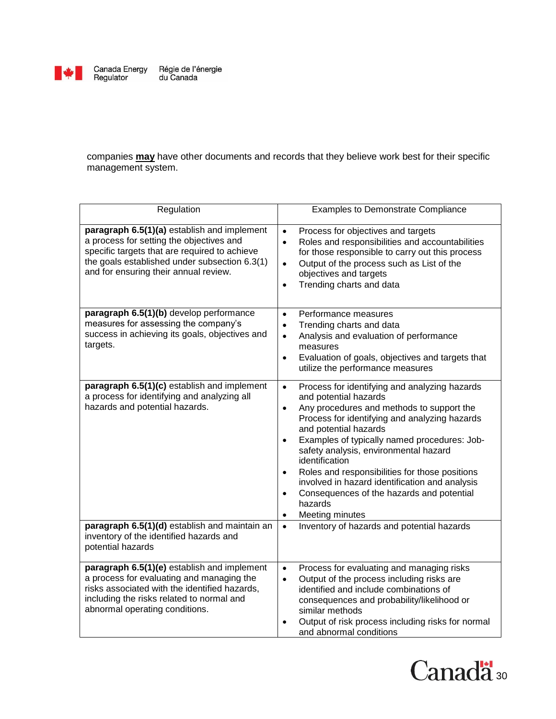

companies **may** have other documents and records that they believe work best for their specific management system.

| Regulation                                                                                                                                                                                                                         | <b>Examples to Demonstrate Compliance</b>                                                                                                                                                                                                                                                                                                                                                                                                                                                                                                                             |
|------------------------------------------------------------------------------------------------------------------------------------------------------------------------------------------------------------------------------------|-----------------------------------------------------------------------------------------------------------------------------------------------------------------------------------------------------------------------------------------------------------------------------------------------------------------------------------------------------------------------------------------------------------------------------------------------------------------------------------------------------------------------------------------------------------------------|
| paragraph 6.5(1)(a) establish and implement<br>a process for setting the objectives and<br>specific targets that are required to achieve<br>the goals established under subsection 6.3(1)<br>and for ensuring their annual review. | Process for objectives and targets<br>$\bullet$<br>Roles and responsibilities and accountabilities<br>$\bullet$<br>for those responsible to carry out this process<br>Output of the process such as List of the<br>$\bullet$<br>objectives and targets<br>Trending charts and data<br>$\bullet$                                                                                                                                                                                                                                                                       |
| paragraph 6.5(1)(b) develop performance<br>measures for assessing the company's<br>success in achieving its goals, objectives and<br>targets.                                                                                      | Performance measures<br>$\bullet$<br>Trending charts and data<br>$\bullet$<br>Analysis and evaluation of performance<br>$\bullet$<br>measures<br>Evaluation of goals, objectives and targets that<br>$\bullet$<br>utilize the performance measures                                                                                                                                                                                                                                                                                                                    |
| paragraph 6.5(1)(c) establish and implement<br>a process for identifying and analyzing all<br>hazards and potential hazards.                                                                                                       | Process for identifying and analyzing hazards<br>$\bullet$<br>and potential hazards<br>Any procedures and methods to support the<br>$\bullet$<br>Process for identifying and analyzing hazards<br>and potential hazards<br>Examples of typically named procedures: Job-<br>$\bullet$<br>safety analysis, environmental hazard<br>identification<br>Roles and responsibilities for those positions<br>$\bullet$<br>involved in hazard identification and analysis<br>Consequences of the hazards and potential<br>$\bullet$<br>hazards<br>Meeting minutes<br>$\bullet$ |
| paragraph 6.5(1)(d) establish and maintain an<br>inventory of the identified hazards and<br>potential hazards                                                                                                                      | Inventory of hazards and potential hazards<br>$\bullet$                                                                                                                                                                                                                                                                                                                                                                                                                                                                                                               |
| paragraph 6.5(1)(e) establish and implement<br>a process for evaluating and managing the<br>risks associated with the identified hazards,<br>including the risks related to normal and<br>abnormal operating conditions.           | Process for evaluating and managing risks<br>$\bullet$<br>Output of the process including risks are<br>$\bullet$<br>identified and include combinations of<br>consequences and probability/likelihood or<br>similar methods<br>Output of risk process including risks for normal<br>$\bullet$<br>and abnormal conditions                                                                                                                                                                                                                                              |

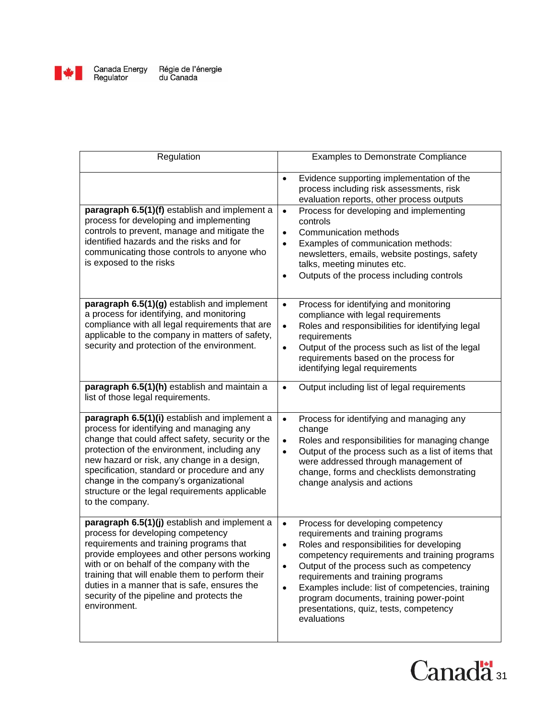

| Regulation                                                                                                                                                                                                                                                                                                                                                                                                  | <b>Examples to Demonstrate Compliance</b>                                                                                                                                                                                                                                                                                                                                                                                                                           |
|-------------------------------------------------------------------------------------------------------------------------------------------------------------------------------------------------------------------------------------------------------------------------------------------------------------------------------------------------------------------------------------------------------------|---------------------------------------------------------------------------------------------------------------------------------------------------------------------------------------------------------------------------------------------------------------------------------------------------------------------------------------------------------------------------------------------------------------------------------------------------------------------|
|                                                                                                                                                                                                                                                                                                                                                                                                             | Evidence supporting implementation of the<br>$\bullet$<br>process including risk assessments, risk<br>evaluation reports, other process outputs                                                                                                                                                                                                                                                                                                                     |
| paragraph 6.5(1)(f) establish and implement a<br>process for developing and implementing<br>controls to prevent, manage and mitigate the<br>identified hazards and the risks and for<br>communicating those controls to anyone who<br>is exposed to the risks                                                                                                                                               | Process for developing and implementing<br>$\bullet$<br>controls<br>Communication methods<br>$\bullet$<br>Examples of communication methods:<br>$\bullet$<br>newsletters, emails, website postings, safety<br>talks, meeting minutes etc.<br>Outputs of the process including controls<br>٠                                                                                                                                                                         |
| paragraph 6.5(1)(g) establish and implement<br>a process for identifying, and monitoring<br>compliance with all legal requirements that are<br>applicable to the company in matters of safety,<br>security and protection of the environment.                                                                                                                                                               | Process for identifying and monitoring<br>$\bullet$<br>compliance with legal requirements<br>Roles and responsibilities for identifying legal<br>$\bullet$<br>requirements<br>Output of the process such as list of the legal<br>$\bullet$<br>requirements based on the process for<br>identifying legal requirements                                                                                                                                               |
| paragraph 6.5(1)(h) establish and maintain a<br>list of those legal requirements.                                                                                                                                                                                                                                                                                                                           | Output including list of legal requirements<br>$\bullet$                                                                                                                                                                                                                                                                                                                                                                                                            |
| paragraph 6.5(1)(i) establish and implement a<br>process for identifying and managing any<br>change that could affect safety, security or the<br>protection of the environment, including any<br>new hazard or risk, any change in a design,<br>specification, standard or procedure and any<br>change in the company's organizational<br>structure or the legal requirements applicable<br>to the company. | $\bullet$<br>Process for identifying and managing any<br>change<br>Roles and responsibilities for managing change<br>$\bullet$<br>Output of the process such as a list of items that<br>$\bullet$<br>were addressed through management of<br>change, forms and checklists demonstrating<br>change analysis and actions                                                                                                                                              |
| paragraph 6.5(1)(j) establish and implement a<br>process for developing competency<br>requirements and training programs that<br>provide employees and other persons working<br>with or on behalf of the company with the<br>training that will enable them to perform their<br>duties in a manner that is safe, ensures the<br>security of the pipeline and protects the<br>environment.                   | Process for developing competency<br>$\bullet$<br>requirements and training programs<br>Roles and responsibilities for developing<br>$\bullet$<br>competency requirements and training programs<br>Output of the process such as competency<br>$\bullet$<br>requirements and training programs<br>Examples include: list of competencies, training<br>$\bullet$<br>program documents, training power-point<br>presentations, quiz, tests, competency<br>evaluations |

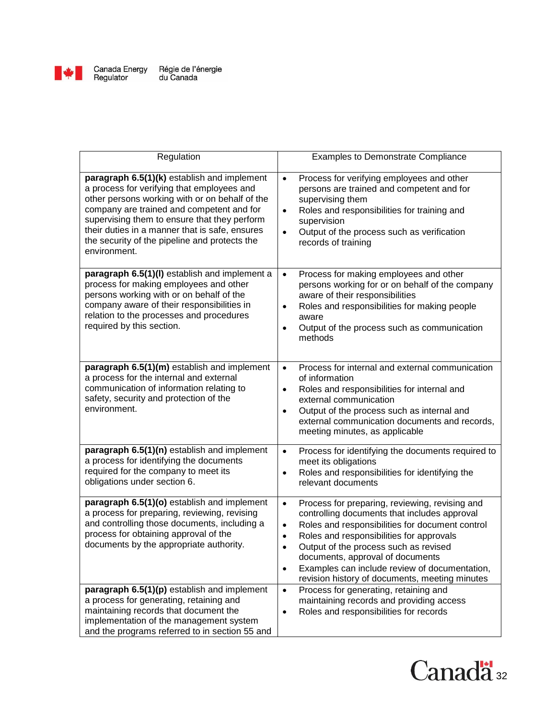

Canada Energy<br>Regulator Régie de l'énergie<br>du Canada

| Regulation                                                                                                                                                                                                                                                                                                                                                  | <b>Examples to Demonstrate Compliance</b>                                                                                                                                                                                                                                                                                                                                                                                              |
|-------------------------------------------------------------------------------------------------------------------------------------------------------------------------------------------------------------------------------------------------------------------------------------------------------------------------------------------------------------|----------------------------------------------------------------------------------------------------------------------------------------------------------------------------------------------------------------------------------------------------------------------------------------------------------------------------------------------------------------------------------------------------------------------------------------|
| paragraph 6.5(1)(k) establish and implement<br>a process for verifying that employees and<br>other persons working with or on behalf of the<br>company are trained and competent and for<br>supervising them to ensure that they perform<br>their duties in a manner that is safe, ensures<br>the security of the pipeline and protects the<br>environment. | Process for verifying employees and other<br>$\bullet$<br>persons are trained and competent and for<br>supervising them<br>Roles and responsibilities for training and<br>$\bullet$<br>supervision<br>Output of the process such as verification<br>$\bullet$<br>records of training                                                                                                                                                   |
| paragraph 6.5(1)(I) establish and implement a<br>process for making employees and other<br>persons working with or on behalf of the<br>company aware of their responsibilities in<br>relation to the processes and procedures<br>required by this section.                                                                                                  | Process for making employees and other<br>$\bullet$<br>persons working for or on behalf of the company<br>aware of their responsibilities<br>Roles and responsibilities for making people<br>$\bullet$<br>aware<br>Output of the process such as communication<br>$\bullet$<br>methods                                                                                                                                                 |
| paragraph 6.5(1)(m) establish and implement<br>a process for the internal and external<br>communication of information relating to<br>safety, security and protection of the<br>environment.                                                                                                                                                                | Process for internal and external communication<br>$\bullet$<br>of information<br>Roles and responsibilities for internal and<br>$\bullet$<br>external communication<br>Output of the process such as internal and<br>$\bullet$<br>external communication documents and records,<br>meeting minutes, as applicable                                                                                                                     |
| paragraph 6.5(1)(n) establish and implement<br>a process for identifying the documents<br>required for the company to meet its<br>obligations under section 6.                                                                                                                                                                                              | Process for identifying the documents required to<br>$\bullet$<br>meet its obligations<br>Roles and responsibilities for identifying the<br>$\bullet$<br>relevant documents                                                                                                                                                                                                                                                            |
| paragraph 6.5(1)(o) establish and implement<br>a process for preparing, reviewing, revising<br>and controlling those documents, including a<br>process for obtaining approval of the<br>documents by the appropriate authority.                                                                                                                             | Process for preparing, reviewing, revising and<br>$\bullet$<br>controlling documents that includes approval<br>Roles and responsibilities for document control<br>$\bullet$<br>Roles and responsibilities for approvals<br>$\bullet$<br>Output of the process such as revised<br>$\bullet$<br>documents, approval of documents<br>Examples can include review of documentation,<br>٠<br>revision history of documents, meeting minutes |
| paragraph 6.5(1)(p) establish and implement<br>a process for generating, retaining and<br>maintaining records that document the<br>implementation of the management system<br>and the programs referred to in section 55 and                                                                                                                                | Process for generating, retaining and<br>$\bullet$<br>maintaining records and providing access<br>Roles and responsibilities for records<br>$\bullet$                                                                                                                                                                                                                                                                                  |

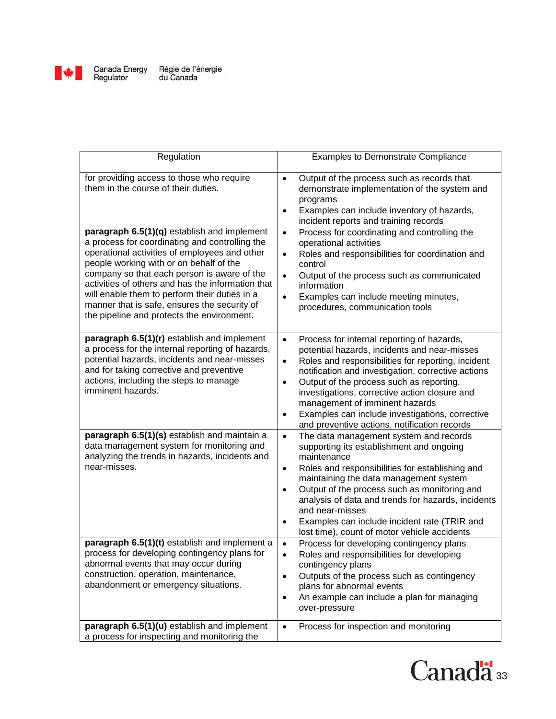

| Regulation                                                                                                                                                                                                                                                                                                                                                                                                                                   | <b>Examples to Demonstrate Compliance</b>                                                                                                                                                                                                                                                                                                                                                                                                                                                    |
|----------------------------------------------------------------------------------------------------------------------------------------------------------------------------------------------------------------------------------------------------------------------------------------------------------------------------------------------------------------------------------------------------------------------------------------------|----------------------------------------------------------------------------------------------------------------------------------------------------------------------------------------------------------------------------------------------------------------------------------------------------------------------------------------------------------------------------------------------------------------------------------------------------------------------------------------------|
| for providing access to those who require<br>them in the course of their duties.                                                                                                                                                                                                                                                                                                                                                             | Output of the process such as records that<br>$\bullet$<br>demonstrate implementation of the system and<br>programs<br>Examples can include inventory of hazards,<br>$\bullet$<br>incident reports and training records                                                                                                                                                                                                                                                                      |
| paragraph 6.5(1)(q) establish and implement<br>a process for coordinating and controlling the<br>operational activities of employees and other<br>people working with or on behalf of the<br>company so that each person is aware of the<br>activities of others and has the information that<br>will enable them to perform their duties in a<br>manner that is safe, ensures the security of<br>the pipeline and protects the environment. | Process for coordinating and controlling the<br>$\bullet$<br>operational activities<br>Roles and responsibilities for coordination and<br>$\bullet$<br>control<br>Output of the process such as communicated<br>$\bullet$<br>information<br>Examples can include meeting minutes,<br>$\bullet$<br>procedures, communication tools                                                                                                                                                            |
| paragraph 6.5(1)(r) establish and implement<br>a process for the internal reporting of hazards,<br>potential hazards, incidents and near-misses<br>and for taking corrective and preventive<br>actions, including the steps to manage<br>imminent hazards.                                                                                                                                                                                   | Process for internal reporting of hazards,<br>$\bullet$<br>potential hazards, incidents and near-misses<br>Roles and responsibilities for reporting, incident<br>$\bullet$<br>notification and investigation, corrective actions<br>Output of the process such as reporting,<br>$\bullet$<br>investigations, corrective action closure and<br>management of imminent hazards<br>Examples can include investigations, corrective<br>$\bullet$<br>and preventive actions, notification records |
| paragraph 6.5(1)(s) establish and maintain a<br>data management system for monitoring and<br>analyzing the trends in hazards, incidents and<br>near-misses.                                                                                                                                                                                                                                                                                  | The data management system and records<br>$\bullet$<br>supporting its establishment and ongoing<br>maintenance<br>Roles and responsibilities for establishing and<br>$\bullet$<br>maintaining the data management system<br>Output of the process such as monitoring and<br>$\bullet$<br>analysis of data and trends for hazards, incidents<br>and near-misses<br>Examples can include incident rate (TRIR and<br>$\bullet$<br>lost time), count of motor vehicle accidents                  |
| paragraph 6.5(1)(t) establish and implement a<br>process for developing contingency plans for<br>abnormal events that may occur during<br>construction, operation, maintenance,<br>abandonment or emergency situations.                                                                                                                                                                                                                      | Process for developing contingency plans<br>$\bullet$<br>Roles and responsibilities for developing<br>contingency plans<br>Outputs of the process such as contingency<br>$\bullet$<br>plans for abnormal events<br>An example can include a plan for managing<br>$\bullet$<br>over-pressure                                                                                                                                                                                                  |
| paragraph 6.5(1)(u) establish and implement<br>a process for inspecting and monitoring the                                                                                                                                                                                                                                                                                                                                                   | Process for inspection and monitoring<br>$\bullet$                                                                                                                                                                                                                                                                                                                                                                                                                                           |

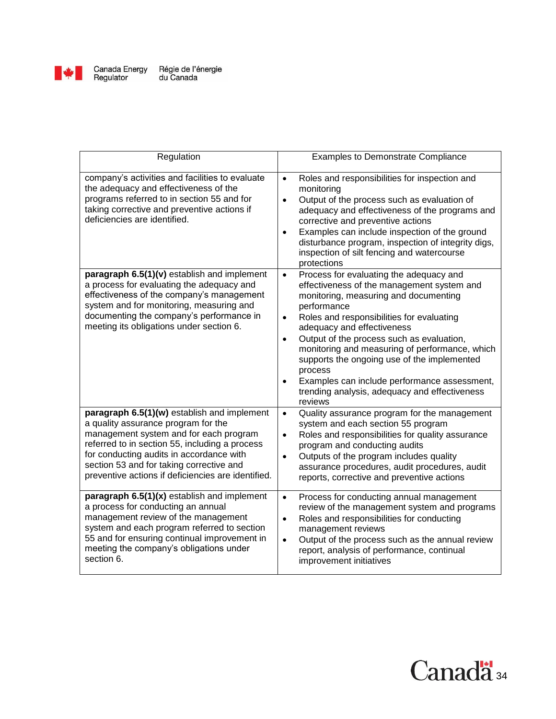

| Regulation                                                                                                                                                                                                                                                                                                                   | <b>Examples to Demonstrate Compliance</b>                                                                                                                                                                                                                                                                                                                                                                                                                                                                                                         |
|------------------------------------------------------------------------------------------------------------------------------------------------------------------------------------------------------------------------------------------------------------------------------------------------------------------------------|---------------------------------------------------------------------------------------------------------------------------------------------------------------------------------------------------------------------------------------------------------------------------------------------------------------------------------------------------------------------------------------------------------------------------------------------------------------------------------------------------------------------------------------------------|
| company's activities and facilities to evaluate<br>the adequacy and effectiveness of the<br>programs referred to in section 55 and for<br>taking corrective and preventive actions if<br>deficiencies are identified.                                                                                                        | Roles and responsibilities for inspection and<br>$\bullet$<br>monitoring<br>Output of the process such as evaluation of<br>$\bullet$<br>adequacy and effectiveness of the programs and<br>corrective and preventive actions<br>Examples can include inspection of the ground<br>$\bullet$<br>disturbance program, inspection of integrity digs,<br>inspection of silt fencing and watercourse<br>protections                                                                                                                                      |
| paragraph 6.5(1)(v) establish and implement<br>a process for evaluating the adequacy and<br>effectiveness of the company's management<br>system and for monitoring, measuring and<br>documenting the company's performance in<br>meeting its obligations under section 6.                                                    | Process for evaluating the adequacy and<br>$\bullet$<br>effectiveness of the management system and<br>monitoring, measuring and documenting<br>performance<br>Roles and responsibilities for evaluating<br>$\bullet$<br>adequacy and effectiveness<br>Output of the process such as evaluation,<br>$\bullet$<br>monitoring and measuring of performance, which<br>supports the ongoing use of the implemented<br>process<br>Examples can include performance assessment,<br>$\bullet$<br>trending analysis, adequacy and effectiveness<br>reviews |
| paragraph 6.5(1)(w) establish and implement<br>a quality assurance program for the<br>management system and for each program<br>referred to in section 55, including a process<br>for conducting audits in accordance with<br>section 53 and for taking corrective and<br>preventive actions if deficiencies are identified. | Quality assurance program for the management<br>$\bullet$<br>system and each section 55 program<br>Roles and responsibilities for quality assurance<br>$\bullet$<br>program and conducting audits<br>Outputs of the program includes quality<br>$\bullet$<br>assurance procedures, audit procedures, audit<br>reports, corrective and preventive actions                                                                                                                                                                                          |
| paragraph 6.5(1)(x) establish and implement<br>a process for conducting an annual<br>management review of the management<br>system and each program referred to section<br>55 and for ensuring continual improvement in<br>meeting the company's obligations under<br>section 6.                                             | Process for conducting annual management<br>$\bullet$<br>review of the management system and programs<br>Roles and responsibilities for conducting<br>$\bullet$<br>management reviews<br>Output of the process such as the annual review<br>$\bullet$<br>report, analysis of performance, continual<br>improvement initiatives                                                                                                                                                                                                                    |

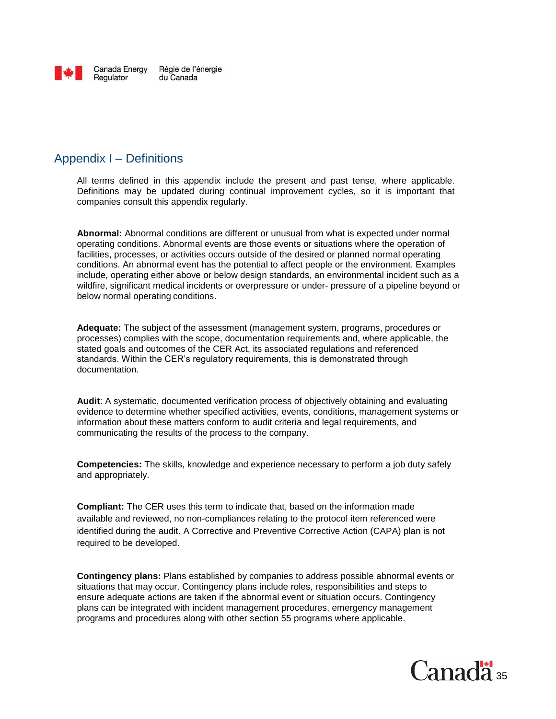

# <span id="page-34-0"></span>Appendix I – Definitions

All terms defined in this appendix include the present and past tense, where applicable. Definitions may be updated during continual improvement cycles, so it is important that companies consult this appendix regularly.

**Abnormal:** Abnormal conditions are different or unusual from what is expected under normal operating conditions. Abnormal events are those events or situations where the operation of facilities, processes, or activities occurs outside of the desired or planned normal operating conditions. An abnormal event has the potential to affect people or the environment. Examples include, operating either above or below design standards, an environmental incident such as a wildfire, significant medical incidents or overpressure or under- pressure of a pipeline beyond or below normal operating conditions.

**Adequate:** The subject of the assessment (management system, programs, procedures or processes) complies with the scope, documentation requirements and, where applicable, the stated goals and outcomes of the CER Act, its associated regulations and referenced standards. Within the CER's regulatory requirements, this is demonstrated through documentation.

**Audit**: A systematic, documented verification process of objectively obtaining and evaluating evidence to determine whether specified activities, events, conditions, management systems or information about these matters conform to audit criteria and legal requirements, and communicating the results of the process to the company.

**Competencies:** The skills, knowledge and experience necessary to perform a job duty safely and appropriately.

**Compliant:** The CER uses this term to indicate that, based on the information made available and reviewed, no non-compliances relating to the protocol item referenced were identified during the audit. A Corrective and Preventive Corrective Action (CAPA) plan is not required to be developed.

**Contingency plans:** Plans established by companies to address possible abnormal events or situations that may occur. Contingency plans include roles, responsibilities and steps to ensure adequate actions are taken if the abnormal event or situation occurs. Contingency plans can be integrated with incident management procedures, emergency management programs and procedures along with other section 55 programs where applicable.

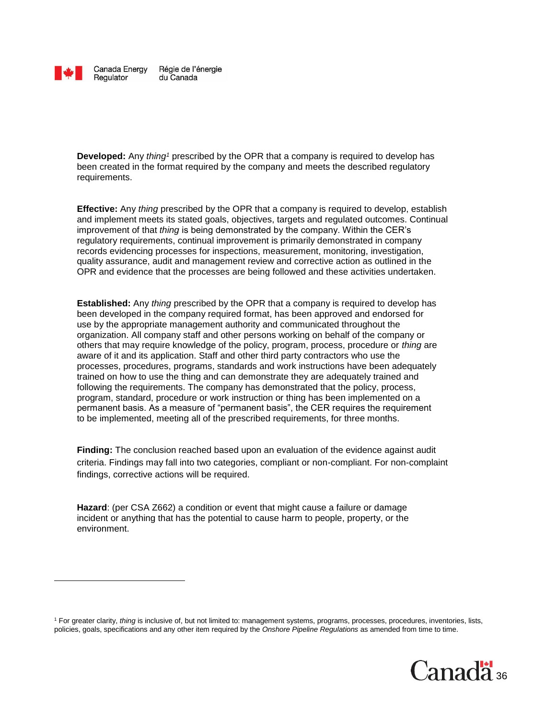

Canada Energy Régie de l'énergie Regulator du Canada

**Developed:** Any *thing<sup>1</sup>* prescribed by the OPR that a company is required to develop has been created in the format required by the company and meets the described regulatory requirements.

**Effective:** Any *thing* prescribed by the OPR that a company is required to develop, establish and implement meets its stated goals, objectives, targets and regulated outcomes. Continual improvement of that *thing* is being demonstrated by the company. Within the CER's regulatory requirements, continual improvement is primarily demonstrated in company records evidencing processes for inspections, measurement, monitoring, investigation, quality assurance, audit and management review and corrective action as outlined in the OPR and evidence that the processes are being followed and these activities undertaken.

**Established:** Any *thing* prescribed by the OPR that a company is required to develop has been developed in the company required format, has been approved and endorsed for use by the appropriate management authority and communicated throughout the organization. All company staff and other persons working on behalf of the company or others that may require knowledge of the policy, program, process, procedure or *thing* are aware of it and its application. Staff and other third party contractors who use the processes, procedures, programs, standards and work instructions have been adequately trained on how to use the thing and can demonstrate they are adequately trained and following the requirements. The company has demonstrated that the policy, process, program, standard, procedure or work instruction or thing has been implemented on a permanent basis. As a measure of "permanent basis", the CER requires the requirement to be implemented, meeting all of the prescribed requirements, for three months.

**Finding:** The conclusion reached based upon an evaluation of the evidence against audit criteria. Findings may fall into two categories, compliant or non-compliant. For non-complaint findings, corrective actions will be required.

**Hazard**: (per CSA Z662) a condition or event that might cause a failure or damage incident or anything that has the potential to cause harm to people, property, or the environment.

<sup>1</sup> For greater clarity, *thing* is inclusive of, but not limited to: management systems, programs, processes, procedures, inventories, lists, policies, goals, specifications and any other item required by the *Onshore Pipeline Regulations* as amended from time to time.

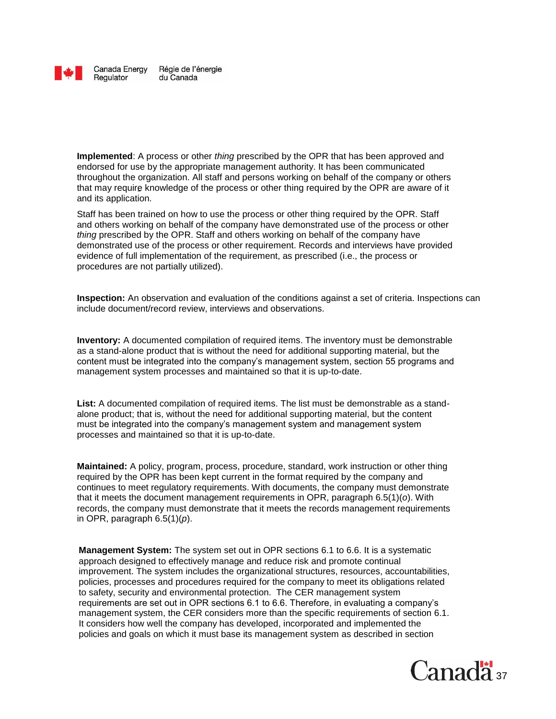

**Implemented**: A process or other *thing* prescribed by the OPR that has been approved and endorsed for use by the appropriate management authority. It has been communicated throughout the organization. All staff and persons working on behalf of the company or others that may require knowledge of the process or other thing required by the OPR are aware of it and its application.

Staff has been trained on how to use the process or other thing required by the OPR. Staff and others working on behalf of the company have demonstrated use of the process or other *thing* prescribed by the OPR. Staff and others working on behalf of the company have demonstrated use of the process or other requirement. Records and interviews have provided evidence of full implementation of the requirement, as prescribed (i.e., the process or procedures are not partially utilized).

**Inspection:** An observation and evaluation of the conditions against a set of criteria. Inspections can include document/record review, interviews and observations.

**Inventory:** A documented compilation of required items. The inventory must be demonstrable as a stand-alone product that is without the need for additional supporting material, but the content must be integrated into the company's management system, section 55 programs and management system processes and maintained so that it is up-to-date.

**List:** A documented compilation of required items. The list must be demonstrable as a standalone product; that is, without the need for additional supporting material, but the content must be integrated into the company's management system and management system processes and maintained so that it is up-to-date.

**Maintained:** A policy, program, process, procedure, standard, work instruction or other thing required by the OPR has been kept current in the format required by the company and continues to meet regulatory requirements. With documents, the company must demonstrate that it meets the document management requirements in OPR, paragraph 6.5(1)(*o*). With records, the company must demonstrate that it meets the records management requirements in OPR, paragraph 6.5(1)(*p*).

**Management System:** The system set out in OPR sections 6.1 to 6.6. It is a systematic approach designed to effectively manage and reduce risk and promote continual improvement. The system includes the organizational structures, resources, accountabilities, policies, processes and procedures required for the company to meet its obligations related to safety, security and environmental protection. The CER management system requirements are set out in OPR sections 6.1 to 6.6. Therefore, in evaluating a company's management system, the CER considers more than the specific requirements of section 6.1. It considers how well the company has developed, incorporated and implemented the policies and goals on which it must base its management system as described in section

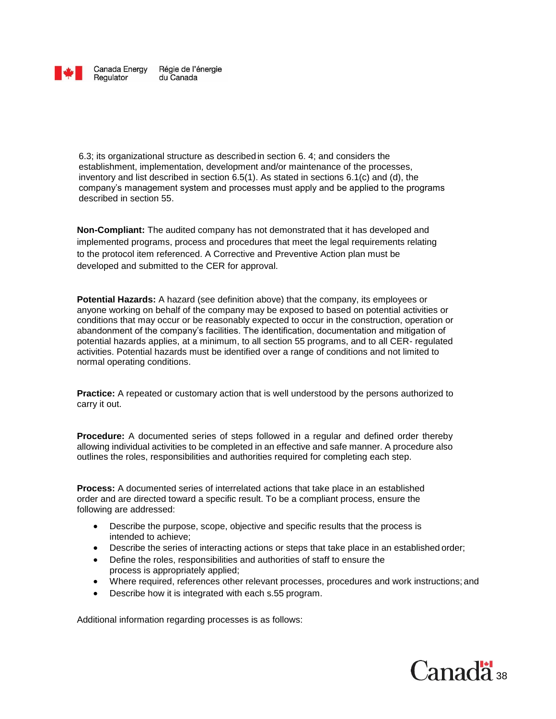

6.3; its organizational structure as described in section 6. 4; and considers the establishment, implementation, development and/or maintenance of the processes, inventory and list described in section 6.5(1). As stated in sections 6.1(c) and (d), the company's management system and processes must apply and be applied to the programs described in section 55.

**Non-Compliant:** The audited company has not demonstrated that it has developed and implemented programs, process and procedures that meet the legal requirements relating to the protocol item referenced. A Corrective and Preventive Action plan must be developed and submitted to the CER for approval.

**Potential Hazards:** A hazard (see definition above) that the company, its employees or anyone working on behalf of the company may be exposed to based on potential activities or conditions that may occur or be reasonably expected to occur in the construction, operation or abandonment of the company's facilities. The identification, documentation and mitigation of potential hazards applies, at a minimum, to all section 55 programs, and to all CER- regulated activities. Potential hazards must be identified over a range of conditions and not limited to normal operating conditions.

**Practice:** A repeated or customary action that is well understood by the persons authorized to carry it out.

**Procedure:** A documented series of steps followed in a regular and defined order thereby allowing individual activities to be completed in an effective and safe manner. A procedure also outlines the roles, responsibilities and authorities required for completing each step.

**Process:** A documented series of interrelated actions that take place in an established order and are directed toward a specific result. To be a compliant process, ensure the following are addressed:

- Describe the purpose, scope, objective and specific results that the process is intended to achieve;
- Describe the series of interacting actions or steps that take place in an established order;
- Define the roles, responsibilities and authorities of staff to ensure the process is appropriately applied;
- Where required, references other relevant processes, procedures and work instructions; and
- Describe how it is integrated with each s.55 program.

Additional information regarding processes is as follows:

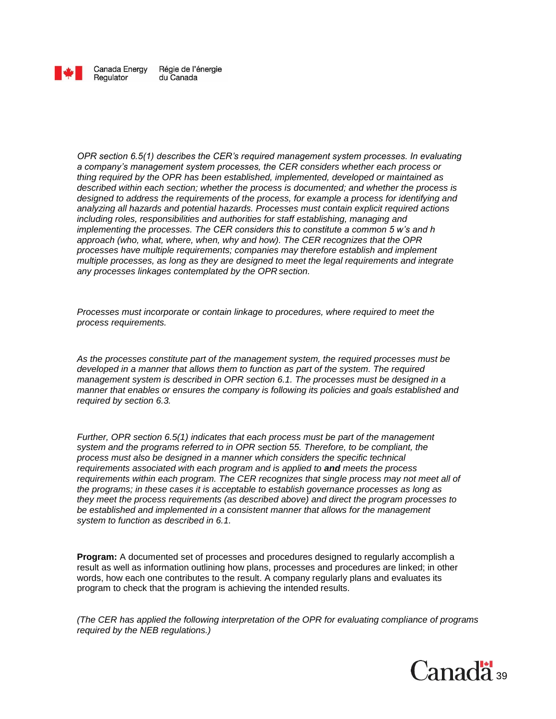

*OPR section 6.5(1) describes the CER's required management system processes. In evaluating a company's management system processes, the CER considers whether each process or thing required by the OPR has been established, implemented, developed or maintained as described within each section; whether the process is documented; and whether the process is designed to address the requirements of the process, for example a process for identifying and analyzing all hazards and potential hazards. Processes must contain explicit required actions including roles, responsibilities and authorities for staff establishing, managing and implementing the processes. The CER considers this to constitute a common 5 w's and h approach (who, what, where, when, why and how). The CER recognizes that the OPR processes have multiple requirements; companies may therefore establish and implement multiple processes, as long as they are designed to meet the legal requirements and integrate any processes linkages contemplated by the OPR section.*

*Processes must incorporate or contain linkage to procedures, where required to meet the process requirements.*

*As the processes constitute part of the management system, the required processes must be developed in a manner that allows them to function as part of the system. The required management system is described in OPR section 6.1. The processes must be designed in a manner that enables or ensures the company is following its policies and goals established and required by section 6.3.*

*Further, OPR section 6.5(1) indicates that each process must be part of the management system and the programs referred to in OPR section 55. Therefore, to be compliant, the process must also be designed in a manner which considers the specific technical requirements associated with each program and is applied to and meets the process requirements within each program. The CER recognizes that single process may not meet all of the programs; in these cases it is acceptable to establish governance processes as long as they meet the process requirements (as described above) and direct the program processes to be established and implemented in a consistent manner that allows for the management system to function as described in 6.1.*

**Program:** A documented set of processes and procedures designed to regularly accomplish a result as well as information outlining how plans, processes and procedures are linked; in other words, how each one contributes to the result. A company regularly plans and evaluates its program to check that the program is achieving the intended results.

*(The CER has applied the following interpretation of the OPR for evaluating compliance of programs required by the NEB regulations.)*